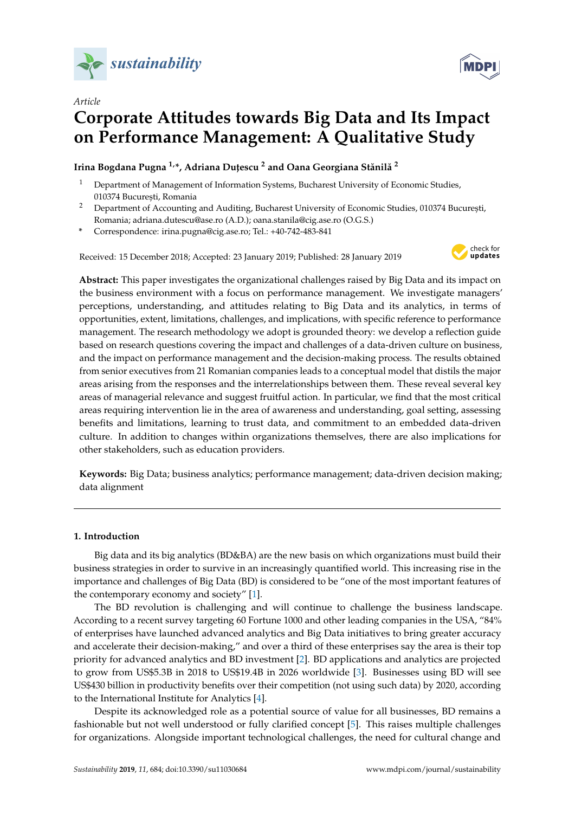



# *Article* **Corporate Attitudes towards Big Data and Its Impact on Performance Management: A Qualitative Study**

# **Irina Bogdana Pugna 1,\*, Adriana Dut,escu <sup>2</sup> and Oana Georgiana Stănilă 2**

- <sup>1</sup> Department of Management of Information Systems, Bucharest University of Economic Studies, 010374 Bucuresti, Romania
- <sup>2</sup> Department of Accounting and Auditing, Bucharest University of Economic Studies, 010374 Bucuresti, Romania; adriana.dutescu@ase.ro (A.D.); oana.stanila@cig.ase.ro (O.G.S.)
- **\*** Correspondence: irina.pugna@cig.ase.ro; Tel.: +40-742-483-841

Received: 15 December 2018; Accepted: 23 January 2019; Published: 28 January 2019



**Abstract:** This paper investigates the organizational challenges raised by Big Data and its impact on the business environment with a focus on performance management. We investigate managers' perceptions, understanding, and attitudes relating to Big Data and its analytics, in terms of opportunities, extent, limitations, challenges, and implications, with specific reference to performance management. The research methodology we adopt is grounded theory: we develop a reflection guide based on research questions covering the impact and challenges of a data-driven culture on business, and the impact on performance management and the decision-making process. The results obtained from senior executives from 21 Romanian companies leads to a conceptual model that distils the major areas arising from the responses and the interrelationships between them. These reveal several key areas of managerial relevance and suggest fruitful action. In particular, we find that the most critical areas requiring intervention lie in the area of awareness and understanding, goal setting, assessing benefits and limitations, learning to trust data, and commitment to an embedded data-driven culture. In addition to changes within organizations themselves, there are also implications for other stakeholders, such as education providers.

**Keywords:** Big Data; business analytics; performance management; data-driven decision making; data alignment

# **1. Introduction**

Big data and its big analytics (BD&BA) are the new basis on which organizations must build their business strategies in order to survive in an increasingly quantified world. This increasing rise in the importance and challenges of Big Data (BD) is considered to be "one of the most important features of the contemporary economy and society" [\[1\]](#page-23-0).

The BD revolution is challenging and will continue to challenge the business landscape. According to a recent survey targeting 60 Fortune 1000 and other leading companies in the USA, "84% of enterprises have launched advanced analytics and Big Data initiatives to bring greater accuracy and accelerate their decision-making," and over a third of these enterprises say the area is their top priority for advanced analytics and BD investment [\[2\]](#page-23-1). BD applications and analytics are projected to grow from US\$5.3B in 2018 to US\$19.4B in 2026 worldwide [\[3\]](#page-23-2). Businesses using BD will see US\$430 billion in productivity benefits over their competition (not using such data) by 2020, according to the International Institute for Analytics [\[4\]](#page-24-0).

Despite its acknowledged role as a potential source of value for all businesses, BD remains a fashionable but not well understood or fully clarified concept [\[5\]](#page-24-1). This raises multiple challenges for organizations. Alongside important technological challenges, the need for cultural change and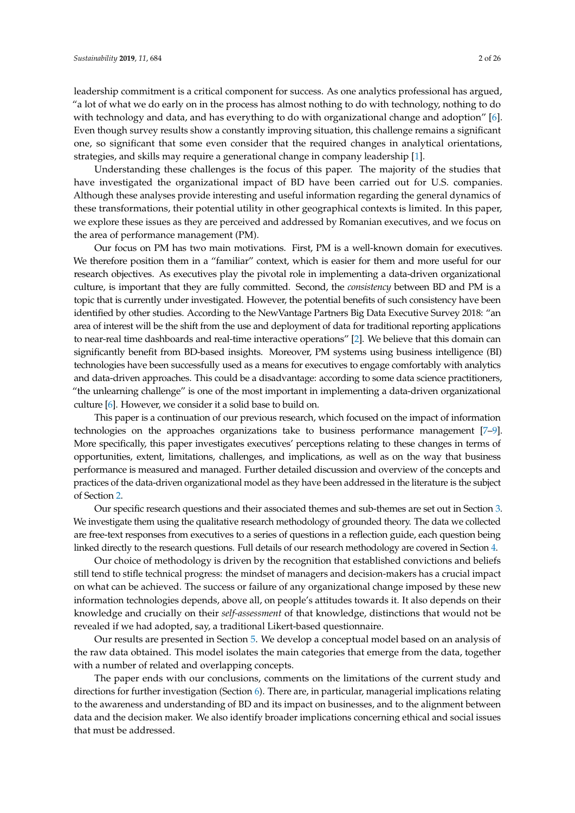leadership commitment is a critical component for success. As one analytics professional has argued, "a lot of what we do early on in the process has almost nothing to do with technology, nothing to do with technology and data, and has everything to do with organizational change and adoption" [\[6\]](#page-24-2). Even though survey results show a constantly improving situation, this challenge remains a significant one, so significant that some even consider that the required changes in analytical orientations, strategies, and skills may require a generational change in company leadership [\[1\]](#page-23-0).

Understanding these challenges is the focus of this paper. The majority of the studies that have investigated the organizational impact of BD have been carried out for U.S. companies. Although these analyses provide interesting and useful information regarding the general dynamics of these transformations, their potential utility in other geographical contexts is limited. In this paper, we explore these issues as they are perceived and addressed by Romanian executives, and we focus on the area of performance management (PM).

Our focus on PM has two main motivations. First, PM is a well-known domain for executives. We therefore position them in a "familiar" context, which is easier for them and more useful for our research objectives. As executives play the pivotal role in implementing a data-driven organizational culture, is important that they are fully committed. Second, the *consistency* between BD and PM is a topic that is currently under investigated. However, the potential benefits of such consistency have been identified by other studies. According to the NewVantage Partners Big Data Executive Survey 2018: "an area of interest will be the shift from the use and deployment of data for traditional reporting applications to near-real time dashboards and real-time interactive operations" [\[2\]](#page-23-1). We believe that this domain can significantly benefit from BD-based insights. Moreover, PM systems using business intelligence (BI) technologies have been successfully used as a means for executives to engage comfortably with analytics and data-driven approaches. This could be a disadvantage: according to some data science practitioners, "the unlearning challenge" is one of the most important in implementing a data-driven organizational culture [\[6\]](#page-24-2). However, we consider it a solid base to build on.

This paper is a continuation of our previous research, which focused on the impact of information technologies on the approaches organizations take to business performance management [\[7](#page-24-3)[–9\]](#page-24-4). More specifically, this paper investigates executives' perceptions relating to these changes in terms of opportunities, extent, limitations, challenges, and implications, as well as on the way that business performance is measured and managed. Further detailed discussion and overview of the concepts and practices of the data-driven organizational model as they have been addressed in the literature is the subject of Section [2.](#page-2-0)

Our specific research questions and their associated themes and sub-themes are set out in Section [3.](#page-5-0) We investigate them using the qualitative research methodology of grounded theory. The data we collected are free-text responses from executives to a series of questions in a reflection guide, each question being linked directly to the research questions. Full details of our research methodology are covered in Section [4.](#page-6-0)

Our choice of methodology is driven by the recognition that established convictions and beliefs still tend to stifle technical progress: the mindset of managers and decision-makers has a crucial impact on what can be achieved. The success or failure of any organizational change imposed by these new information technologies depends, above all, on people's attitudes towards it. It also depends on their knowledge and crucially on their *self-assessment* of that knowledge, distinctions that would not be revealed if we had adopted, say, a traditional Likert-based questionnaire.

Our results are presented in Section [5.](#page-7-0) We develop a conceptual model based on an analysis of the raw data obtained. This model isolates the main categories that emerge from the data, together with a number of related and overlapping concepts.

The paper ends with our conclusions, comments on the limitations of the current study and directions for further investigation (Section [6\)](#page-20-0). There are, in particular, managerial implications relating to the awareness and understanding of BD and its impact on businesses, and to the alignment between data and the decision maker. We also identify broader implications concerning ethical and social issues that must be addressed.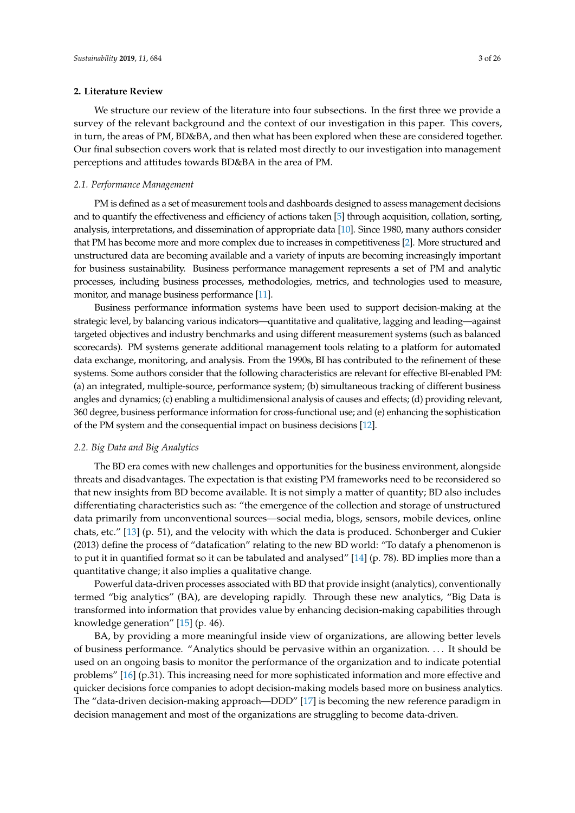#### <span id="page-2-0"></span>**2. Literature Review**

We structure our review of the literature into four subsections. In the first three we provide a survey of the relevant background and the context of our investigation in this paper. This covers, in turn, the areas of PM, BD&BA, and then what has been explored when these are considered together. Our final subsection covers work that is related most directly to our investigation into management perceptions and attitudes towards BD&BA in the area of PM.

#### *2.1. Performance Management*

PM is defined as a set of measurement tools and dashboards designed to assess management decisions and to quantify the effectiveness and efficiency of actions taken [\[5\]](#page-24-1) through acquisition, collation, sorting, analysis, interpretations, and dissemination of appropriate data [\[10\]](#page-24-5). Since 1980, many authors consider that PM has become more and more complex due to increases in competitiveness [\[2\]](#page-23-1). More structured and unstructured data are becoming available and a variety of inputs are becoming increasingly important for business sustainability. Business performance management represents a set of PM and analytic processes, including business processes, methodologies, metrics, and technologies used to measure, monitor, and manage business performance [\[11\]](#page-24-6).

Business performance information systems have been used to support decision-making at the strategic level, by balancing various indicators—quantitative and qualitative, lagging and leading—against targeted objectives and industry benchmarks and using different measurement systems (such as balanced scorecards). PM systems generate additional management tools relating to a platform for automated data exchange, monitoring, and analysis. From the 1990s, BI has contributed to the refinement of these systems. Some authors consider that the following characteristics are relevant for effective BI-enabled PM: (a) an integrated, multiple-source, performance system; (b) simultaneous tracking of different business angles and dynamics; (c) enabling a multidimensional analysis of causes and effects; (d) providing relevant, 360 degree, business performance information for cross-functional use; and (e) enhancing the sophistication of the PM system and the consequential impact on business decisions [\[12\]](#page-24-7).

# *2.2. Big Data and Big Analytics*

The BD era comes with new challenges and opportunities for the business environment, alongside threats and disadvantages. The expectation is that existing PM frameworks need to be reconsidered so that new insights from BD become available. It is not simply a matter of quantity; BD also includes differentiating characteristics such as: "the emergence of the collection and storage of unstructured data primarily from unconventional sources—social media, blogs, sensors, mobile devices, online chats, etc." [\[13\]](#page-24-8) (p. 51), and the velocity with which the data is produced. Schonberger and Cukier (2013) define the process of "datafication" relating to the new BD world: "To datafy a phenomenon is to put it in quantified format so it can be tabulated and analysed" [\[14\]](#page-24-9) (p. 78). BD implies more than a quantitative change; it also implies a qualitative change.

Powerful data-driven processes associated with BD that provide insight (analytics), conventionally termed "big analytics" (BA), are developing rapidly. Through these new analytics, "Big Data is transformed into information that provides value by enhancing decision-making capabilities through knowledge generation" [\[15\]](#page-24-10) (p. 46).

BA, by providing a more meaningful inside view of organizations, are allowing better levels of business performance. "Analytics should be pervasive within an organization. . . . It should be used on an ongoing basis to monitor the performance of the organization and to indicate potential problems" [\[16\]](#page-24-11) (p.31). This increasing need for more sophisticated information and more effective and quicker decisions force companies to adopt decision-making models based more on business analytics. The "data-driven decision-making approach—DDD" [\[17\]](#page-24-12) is becoming the new reference paradigm in decision management and most of the organizations are struggling to become data-driven.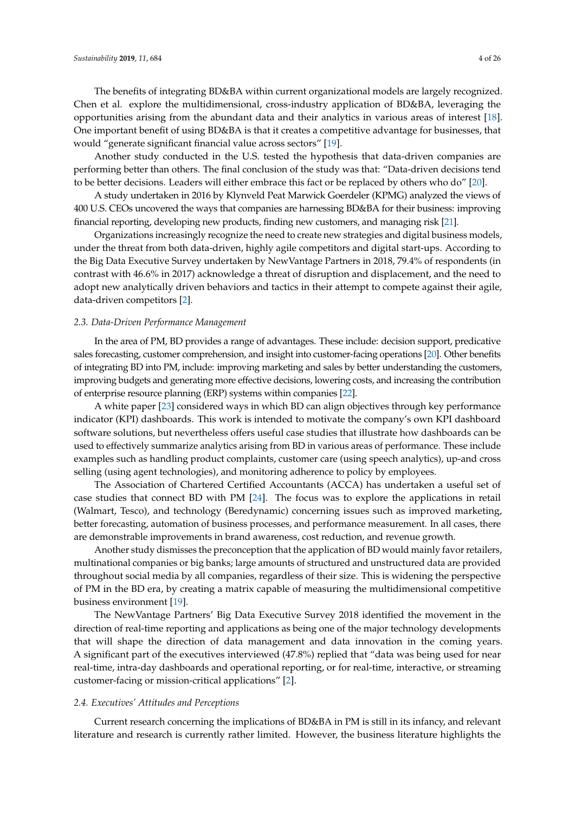The benefits of integrating BD&BA within current organizational models are largely recognized. Chen et al. explore the multidimensional, cross-industry application of BD&BA, leveraging the opportunities arising from the abundant data and their analytics in various areas of interest [\[18\]](#page-24-13). One important benefit of using BD&BA is that it creates a competitive advantage for businesses, that would "generate significant financial value across sectors" [\[19\]](#page-24-14).

Another study conducted in the U.S. tested the hypothesis that data-driven companies are performing better than others. The final conclusion of the study was that: "Data-driven decisions tend to be better decisions. Leaders will either embrace this fact or be replaced by others who do" [\[20\]](#page-24-15).

A study undertaken in 2016 by Klynveld Peat Marwick Goerdeler (KPMG) analyzed the views of 400 U.S. CEOs uncovered the ways that companies are harnessing BD&BA for their business: improving financial reporting, developing new products, finding new customers, and managing risk [\[21\]](#page-24-16).

Organizations increasingly recognize the need to create new strategies and digital business models, under the threat from both data-driven, highly agile competitors and digital start-ups. According to the Big Data Executive Survey undertaken by NewVantage Partners in 2018, 79.4% of respondents (in contrast with 46.6% in 2017) acknowledge a threat of disruption and displacement, and the need to adopt new analytically driven behaviors and tactics in their attempt to compete against their agile, data-driven competitors [\[2\]](#page-23-1).

# *2.3. Data-Driven Performance Management*

In the area of PM, BD provides a range of advantages. These include: decision support, predicative sales forecasting, customer comprehension, and insight into customer-facing operations [\[20\]](#page-24-15). Other benefits of integrating BD into PM, include: improving marketing and sales by better understanding the customers, improving budgets and generating more effective decisions, lowering costs, and increasing the contribution of enterprise resource planning (ERP) systems within companies [\[22\]](#page-24-17).

A white paper [\[23\]](#page-24-18) considered ways in which BD can align objectives through key performance indicator (KPI) dashboards. This work is intended to motivate the company's own KPI dashboard software solutions, but nevertheless offers useful case studies that illustrate how dashboards can be used to effectively summarize analytics arising from BD in various areas of performance. These include examples such as handling product complaints, customer care (using speech analytics), up-and cross selling (using agent technologies), and monitoring adherence to policy by employees.

The Association of Chartered Certified Accountants (ACCA) has undertaken a useful set of case studies that connect BD with PM [\[24\]](#page-24-19). The focus was to explore the applications in retail (Walmart, Tesco), and technology (Beredynamic) concerning issues such as improved marketing, better forecasting, automation of business processes, and performance measurement. In all cases, there are demonstrable improvements in brand awareness, cost reduction, and revenue growth.

Another study dismisses the preconception that the application of BD would mainly favor retailers, multinational companies or big banks; large amounts of structured and unstructured data are provided throughout social media by all companies, regardless of their size. This is widening the perspective of PM in the BD era, by creating a matrix capable of measuring the multidimensional competitive business environment [\[19\]](#page-24-14).

The NewVantage Partners' Big Data Executive Survey 2018 identified the movement in the direction of real-time reporting and applications as being one of the major technology developments that will shape the direction of data management and data innovation in the coming years. A significant part of the executives interviewed (47.8%) replied that "data was being used for near real-time, intra-day dashboards and operational reporting, or for real-time, interactive, or streaming customer-facing or mission-critical applications" [\[2\]](#page-23-1).

#### *2.4. Executives' Attitudes and Perceptions*

Current research concerning the implications of BD&BA in PM is still in its infancy, and relevant literature and research is currently rather limited. However, the business literature highlights the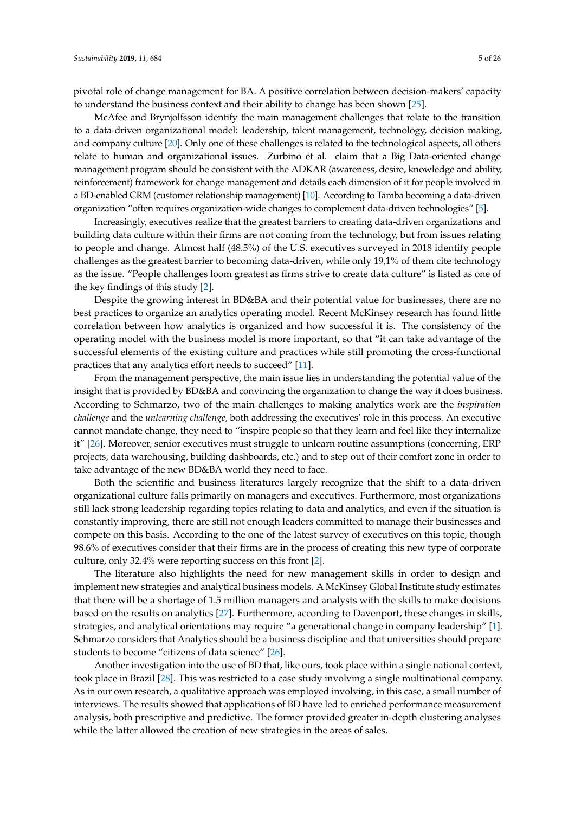pivotal role of change management for BA. A positive correlation between decision-makers' capacity to understand the business context and their ability to change has been shown [\[25\]](#page-24-20).

McAfee and Brynjolfsson identify the main management challenges that relate to the transition to a data-driven organizational model: leadership, talent management, technology, decision making, and company culture [\[20\]](#page-24-15). Only one of these challenges is related to the technological aspects, all others relate to human and organizational issues. Zurbino et al. claim that a Big Data-oriented change management program should be consistent with the ADKAR (awareness, desire, knowledge and ability, reinforcement) framework for change management and details each dimension of it for people involved in a BD-enabled CRM (customer relationship management) [\[10\]](#page-24-5). According to Tamba becoming a data-driven organization "often requires organization-wide changes to complement data-driven technologies" [\[5\]](#page-24-1).

Increasingly, executives realize that the greatest barriers to creating data-driven organizations and building data culture within their firms are not coming from the technology, but from issues relating to people and change. Almost half (48.5%) of the U.S. executives surveyed in 2018 identify people challenges as the greatest barrier to becoming data-driven, while only 19,1% of them cite technology as the issue. "People challenges loom greatest as firms strive to create data culture" is listed as one of the key findings of this study [\[2\]](#page-23-1).

Despite the growing interest in BD&BA and their potential value for businesses, there are no best practices to organize an analytics operating model. Recent McKinsey research has found little correlation between how analytics is organized and how successful it is. The consistency of the operating model with the business model is more important, so that "it can take advantage of the successful elements of the existing culture and practices while still promoting the cross-functional practices that any analytics effort needs to succeed" [\[11\]](#page-24-6).

From the management perspective, the main issue lies in understanding the potential value of the insight that is provided by BD&BA and convincing the organization to change the way it does business. According to Schmarzo, two of the main challenges to making analytics work are the *inspiration challenge* and the *unlearning challenge*, both addressing the executives' role in this process. An executive cannot mandate change, they need to "inspire people so that they learn and feel like they internalize it" [\[26\]](#page-25-0). Moreover, senior executives must struggle to unlearn routine assumptions (concerning, ERP projects, data warehousing, building dashboards, etc.) and to step out of their comfort zone in order to take advantage of the new BD&BA world they need to face.

Both the scientific and business literatures largely recognize that the shift to a data-driven organizational culture falls primarily on managers and executives. Furthermore, most organizations still lack strong leadership regarding topics relating to data and analytics, and even if the situation is constantly improving, there are still not enough leaders committed to manage their businesses and compete on this basis. According to the one of the latest survey of executives on this topic, though 98.6% of executives consider that their firms are in the process of creating this new type of corporate culture, only 32.4% were reporting success on this front [\[2\]](#page-23-1).

The literature also highlights the need for new management skills in order to design and implement new strategies and analytical business models. A McKinsey Global Institute study estimates that there will be a shortage of 1.5 million managers and analysts with the skills to make decisions based on the results on analytics [\[27\]](#page-25-1). Furthermore, according to Davenport, these changes in skills, strategies, and analytical orientations may require "a generational change in company leadership" [\[1\]](#page-23-0). Schmarzo considers that Analytics should be a business discipline and that universities should prepare students to become "citizens of data science" [\[26\]](#page-25-0).

Another investigation into the use of BD that, like ours, took place within a single national context, took place in Brazil [\[28\]](#page-25-2). This was restricted to a case study involving a single multinational company. As in our own research, a qualitative approach was employed involving, in this case, a small number of interviews. The results showed that applications of BD have led to enriched performance measurement analysis, both prescriptive and predictive. The former provided greater in-depth clustering analyses while the latter allowed the creation of new strategies in the areas of sales.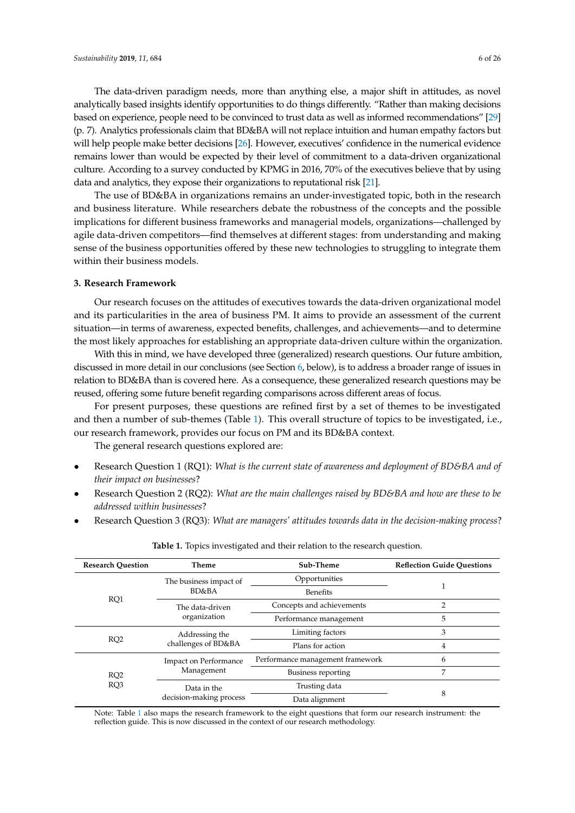The data-driven paradigm needs, more than anything else, a major shift in attitudes, as novel analytically based insights identify opportunities to do things differently. "Rather than making decisions based on experience, people need to be convinced to trust data as well as informed recommendations" [\[29\]](#page-25-3) (p. 7). Analytics professionals claim that BD&BA will not replace intuition and human empathy factors but will help people make better decisions [\[26\]](#page-25-0). However, executives' confidence in the numerical evidence

remains lower than would be expected by their level of commitment to a data-driven organizational culture. According to a survey conducted by KPMG in 2016, 70% of the executives believe that by using data and analytics, they expose their organizations to reputational risk [\[21\]](#page-24-16). The use of BD&BA in organizations remains an under-investigated topic, both in the research

and business literature. While researchers debate the robustness of the concepts and the possible implications for different business frameworks and managerial models, organizations—challenged by agile data-driven competitors—find themselves at different stages: from understanding and making sense of the business opportunities offered by these new technologies to struggling to integrate them within their business models.

#### <span id="page-5-0"></span>**3. Research Framework**

Our research focuses on the attitudes of executives towards the data-driven organizational model and its particularities in the area of business PM. It aims to provide an assessment of the current situation—in terms of awareness, expected benefits, challenges, and achievements—and to determine the most likely approaches for establishing an appropriate data-driven culture within the organization.

With this in mind, we have developed three (generalized) research questions. Our future ambition, discussed in more detail in our conclusions (see Section [6,](#page-20-0) below), is to address a broader range of issues in relation to BD&BA than is covered here. As a consequence, these generalized research questions may be reused, offering some future benefit regarding comparisons across different areas of focus.

For present purposes, these questions are refined first by a set of themes to be investigated and then a number of sub-themes (Table [1\)](#page-5-1). This overall structure of topics to be investigated, i.e., our research framework, provides our focus on PM and its BD&BA context.

The general research questions explored are:

- Research Question 1 (RQ1): *What is the current state of awareness and deployment of BD&BA and of their impact on businesses*?
- Research Question 2 (RQ2): *What are the main challenges raised by BD&BA and how are these to be addressed within businesses*?
- <span id="page-5-1"></span>• Research Question 3 (RQ3): *What are managers' attitudes towards data in the decision-making process*?

| <b>Research Question</b> | Theme                   | Sub-Theme                        | <b>Reflection Guide Ouestions</b> |
|--------------------------|-------------------------|----------------------------------|-----------------------------------|
|                          | The business impact of  | Opportunities                    |                                   |
|                          | BD&BA                   | <b>Benefits</b>                  |                                   |
| RQ1                      | The data-driven         | Concepts and achievements        |                                   |
|                          | organization            | Performance management           | 5                                 |
|                          | Addressing the          | Limiting factors                 | 3                                 |
| RQ <sub>2</sub>          | challenges of BD&BA     | Plans for action                 | 4                                 |
| RQ <sub>2</sub><br>RQ3   | Impact on Performance   | Performance management framework | 6                                 |
|                          | Management              | Business reporting               | 7                                 |
|                          | Data in the             | Trusting data                    |                                   |
|                          | decision-making process | Data alignment                   | 8                                 |

|  |  | Table 1. Topics investigated and their relation to the research question. |  |  |  |  |
|--|--|---------------------------------------------------------------------------|--|--|--|--|
|--|--|---------------------------------------------------------------------------|--|--|--|--|

Note: Table [1](#page-5-1) also maps the research framework to the eight questions that form our research instrument: the reflection guide. This is now discussed in the context of our research methodology.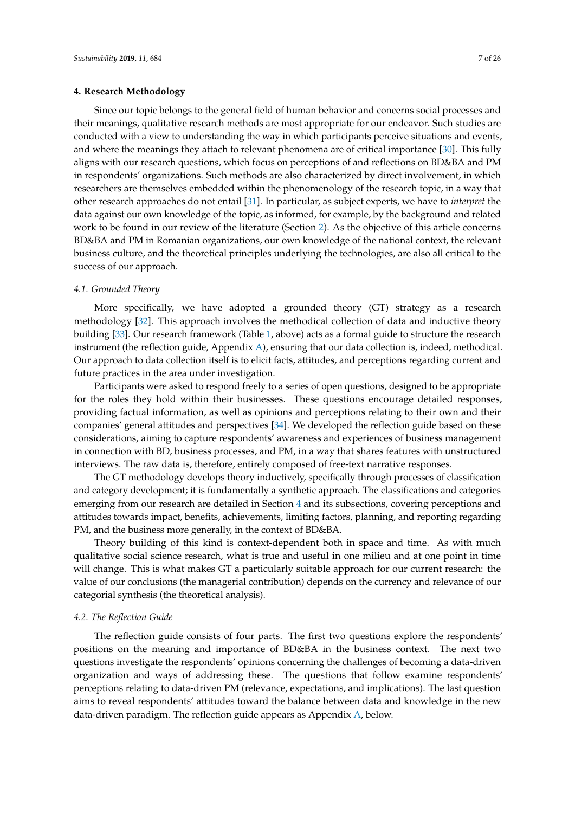#### <span id="page-6-0"></span>**4. Research Methodology**

Since our topic belongs to the general field of human behavior and concerns social processes and their meanings, qualitative research methods are most appropriate for our endeavor. Such studies are conducted with a view to understanding the way in which participants perceive situations and events, and where the meanings they attach to relevant phenomena are of critical importance [\[30\]](#page-25-4). This fully aligns with our research questions, which focus on perceptions of and reflections on BD&BA and PM in respondents' organizations. Such methods are also characterized by direct involvement, in which researchers are themselves embedded within the phenomenology of the research topic, in a way that other research approaches do not entail [\[31\]](#page-25-5). In particular, as subject experts, we have to *interpret* the data against our own knowledge of the topic, as informed, for example, by the background and related work to be found in our review of the literature (Section [2\)](#page-2-0). As the objective of this article concerns BD&BA and PM in Romanian organizations, our own knowledge of the national context, the relevant business culture, and the theoretical principles underlying the technologies, are also all critical to the success of our approach.

#### *4.1. Grounded Theory*

More specifically, we have adopted a grounded theory (GT) strategy as a research methodology [\[32\]](#page-25-6). This approach involves the methodical collection of data and inductive theory building [\[33\]](#page-25-7). Our research framework (Table [1,](#page-5-1) above) acts as a formal guide to structure the research instrument (the reflection guide, Appendix [A\)](#page-23-3), ensuring that our data collection is, indeed, methodical. Our approach to data collection itself is to elicit facts, attitudes, and perceptions regarding current and future practices in the area under investigation.

Participants were asked to respond freely to a series of open questions, designed to be appropriate for the roles they hold within their businesses. These questions encourage detailed responses, providing factual information, as well as opinions and perceptions relating to their own and their companies' general attitudes and perspectives [\[34\]](#page-25-8). We developed the reflection guide based on these considerations, aiming to capture respondents' awareness and experiences of business management in connection with BD, business processes, and PM, in a way that shares features with unstructured interviews. The raw data is, therefore, entirely composed of free-text narrative responses.

The GT methodology develops theory inductively, specifically through processes of classification and category development; it is fundamentally a synthetic approach. The classifications and categories emerging from our research are detailed in Section [4](#page-6-0) and its subsections, covering perceptions and attitudes towards impact, benefits, achievements, limiting factors, planning, and reporting regarding PM, and the business more generally, in the context of BD&BA.

Theory building of this kind is context-dependent both in space and time. As with much qualitative social science research, what is true and useful in one milieu and at one point in time will change. This is what makes GT a particularly suitable approach for our current research: the value of our conclusions (the managerial contribution) depends on the currency and relevance of our categorial synthesis (the theoretical analysis).

#### *4.2. The Reflection Guide*

The reflection guide consists of four parts. The first two questions explore the respondents' positions on the meaning and importance of BD&BA in the business context. The next two questions investigate the respondents' opinions concerning the challenges of becoming a data-driven organization and ways of addressing these. The questions that follow examine respondents' perceptions relating to data-driven PM (relevance, expectations, and implications). The last question aims to reveal respondents' attitudes toward the balance between data and knowledge in the new data-driven paradigm. The reflection guide appears as Appendix [A,](#page-23-3) below.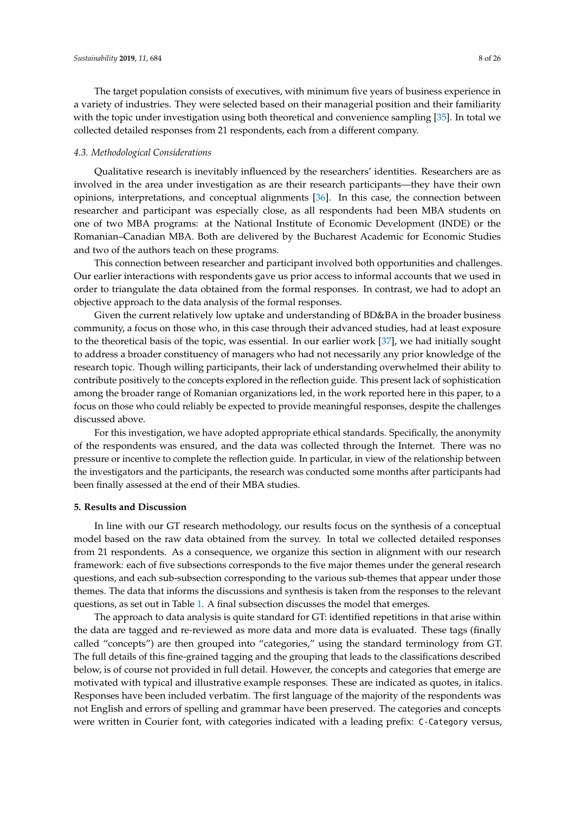The target population consists of executives, with minimum five years of business experience in a variety of industries. They were selected based on their managerial position and their familiarity with the topic under investigation using both theoretical and convenience sampling [\[35\]](#page-25-9). In total we collected detailed responses from 21 respondents, each from a different company.

# *4.3. Methodological Considerations*

Qualitative research is inevitably influenced by the researchers' identities. Researchers are as involved in the area under investigation as are their research participants—they have their own opinions, interpretations, and conceptual alignments [\[36\]](#page-25-10). In this case, the connection between researcher and participant was especially close, as all respondents had been MBA students on one of two MBA programs: at the National Institute of Economic Development (INDE) or the Romanian–Canadian MBA. Both are delivered by the Bucharest Academic for Economic Studies and two of the authors teach on these programs.

This connection between researcher and participant involved both opportunities and challenges. Our earlier interactions with respondents gave us prior access to informal accounts that we used in order to triangulate the data obtained from the formal responses. In contrast, we had to adopt an objective approach to the data analysis of the formal responses.

Given the current relatively low uptake and understanding of BD&BA in the broader business community, a focus on those who, in this case through their advanced studies, had at least exposure to the theoretical basis of the topic, was essential. In our earlier work [\[37\]](#page-25-11), we had initially sought to address a broader constituency of managers who had not necessarily any prior knowledge of the research topic. Though willing participants, their lack of understanding overwhelmed their ability to contribute positively to the concepts explored in the reflection guide. This present lack of sophistication among the broader range of Romanian organizations led, in the work reported here in this paper, to a focus on those who could reliably be expected to provide meaningful responses, despite the challenges discussed above.

For this investigation, we have adopted appropriate ethical standards. Specifically, the anonymity of the respondents was ensured, and the data was collected through the Internet. There was no pressure or incentive to complete the reflection guide. In particular, in view of the relationship between the investigators and the participants, the research was conducted some months after participants had been finally assessed at the end of their MBA studies.

#### <span id="page-7-0"></span>**5. Results and Discussion**

In line with our GT research methodology, our results focus on the synthesis of a conceptual model based on the raw data obtained from the survey. In total we collected detailed responses from 21 respondents. As a consequence, we organize this section in alignment with our research framework: each of five subsections corresponds to the five major themes under the general research questions, and each sub-subsection corresponding to the various sub-themes that appear under those themes. The data that informs the discussions and synthesis is taken from the responses to the relevant questions, as set out in Table [1.](#page-5-1) A final subsection discusses the model that emerges.

The approach to data analysis is quite standard for GT: identified repetitions in that arise within the data are tagged and re-reviewed as more data and more data is evaluated. These tags (finally called "concepts") are then grouped into "categories," using the standard terminology from GT. The full details of this fine-grained tagging and the grouping that leads to the classifications described below, is of course not provided in full detail. However, the concepts and categories that emerge are motivated with typical and illustrative example responses. These are indicated as quotes, in italics. Responses have been included verbatim. The first language of the majority of the respondents was not English and errors of spelling and grammar have been preserved. The categories and concepts were written in Courier font, with categories indicated with a leading prefix: C-Category versus,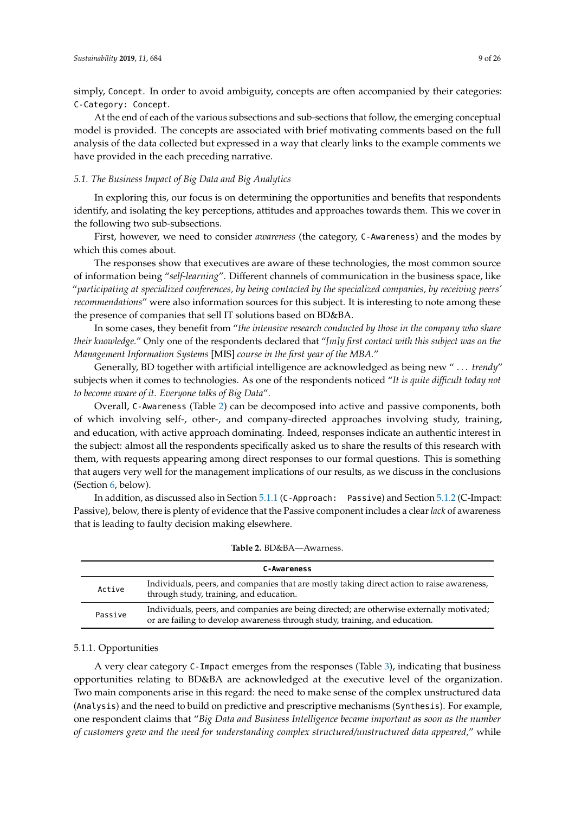simply, Concept. In order to avoid ambiguity, concepts are often accompanied by their categories: C-Category: Concept.

At the end of each of the various subsections and sub-sections that follow, the emerging conceptual model is provided. The concepts are associated with brief motivating comments based on the full analysis of the data collected but expressed in a way that clearly links to the example comments we have provided in the each preceding narrative.

#### *5.1. The Business Impact of Big Data and Big Analytics*

In exploring this, our focus is on determining the opportunities and benefits that respondents identify, and isolating the key perceptions, attitudes and approaches towards them. This we cover in the following two sub-subsections.

First, however, we need to consider *awareness* (the category, C-Awareness) and the modes by which this comes about.

The responses show that executives are aware of these technologies, the most common source of information being "*self-learning*". Different channels of communication in the business space, like "*participating at specialized conferences, by being contacted by the specialized companies, by receiving peers' recommendations*" were also information sources for this subject. It is interesting to note among these the presence of companies that sell IT solutions based on BD&BA.

In some cases, they benefit from "*the intensive research conducted by those in the company who share their knowledge.*" Only one of the respondents declared that "*[m]y first contact with this subject was on the Management Information Systems* [MIS] *course in the first year of the MBA.*"

Generally, BD together with artificial intelligence are acknowledged as being new " . . . *trendy*" subjects when it comes to technologies. As one of the respondents noticed "*It is quite difficult today not to become aware of it. Everyone talks of Big Data*".

Overall, C-Awareness (Table [2\)](#page-8-0) can be decomposed into active and passive components, both of which involving self-, other-, and company-directed approaches involving study, training, and education, with active approach dominating. Indeed, responses indicate an authentic interest in the subject: almost all the respondents specifically asked us to share the results of this research with them, with requests appearing among direct responses to our formal questions. This is something that augers very well for the management implications of our results, as we discuss in the conclusions (Section [6,](#page-20-0) below).

In addition, as discussed also in Section [5.1.1](#page-8-1) (C-Approach: Passive) and Section [5.1.2](#page-9-0) (C-Impact: Passive), below, there is plenty of evidence that the Passive component includes a clear*lack* of awareness that is leading to faulty decision making elsewhere.

<span id="page-8-0"></span>

| <b>C-Awareness</b> |                                                                                                                                                                          |  |
|--------------------|--------------------------------------------------------------------------------------------------------------------------------------------------------------------------|--|
| Active             | Individuals, peers, and companies that are mostly taking direct action to raise awareness,<br>through study, training, and education.                                    |  |
| Passive            | Individuals, peers, and companies are being directed; are otherwise externally motivated;<br>or are failing to develop awareness through study, training, and education. |  |

**Table 2.** BD&BA—Awarness.

# <span id="page-8-1"></span>5.1.1. Opportunities

A very clear category C-Impact emerges from the responses (Table [3\)](#page-9-1), indicating that business opportunities relating to BD&BA are acknowledged at the executive level of the organization. Two main components arise in this regard: the need to make sense of the complex unstructured data (Analysis) and the need to build on predictive and prescriptive mechanisms (Synthesis). For example, one respondent claims that "*Big Data and Business Intelligence became important as soon as the number of customers grew and the need for understanding complex structured/unstructured data appeared,*" while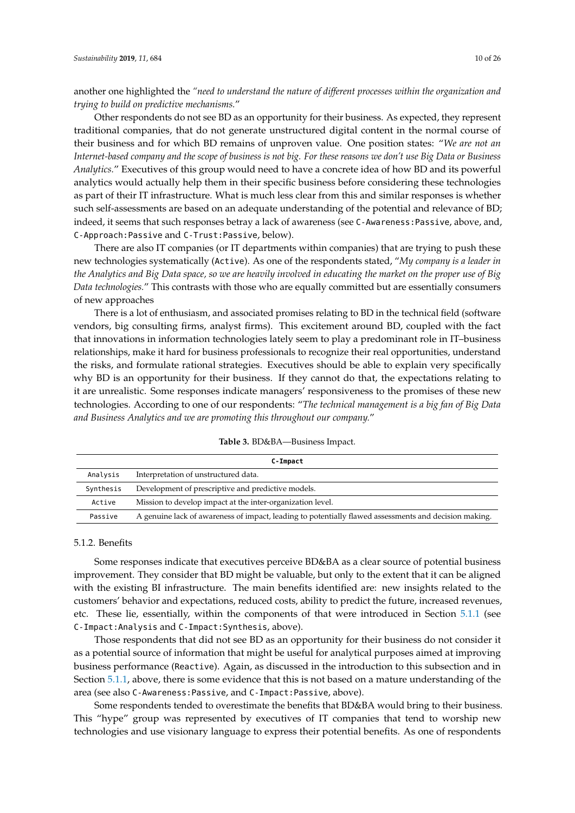another one highlighted the *"need to understand the nature of different processes within the organization and trying to build on predictive mechanisms.*"

Other respondents do not see BD as an opportunity for their business. As expected, they represent traditional companies, that do not generate unstructured digital content in the normal course of their business and for which BD remains of unproven value. One position states: "*We are not an Internet-based company and the scope of business is not big. For these reasons we don't use Big Data or Business Analytics.*" Executives of this group would need to have a concrete idea of how BD and its powerful analytics would actually help them in their specific business before considering these technologies as part of their IT infrastructure. What is much less clear from this and similar responses is whether such self-assessments are based on an adequate understanding of the potential and relevance of BD; indeed, it seems that such responses betray a lack of awareness (see C-Awareness:Passive, above, and, C-Approach:Passive and C-Trust:Passive, below).

There are also IT companies (or IT departments within companies) that are trying to push these new technologies systematically (Active). As one of the respondents stated, "*My company is a leader in the Analytics and Big Data space, so we are heavily involved in educating the market on the proper use of Big Data technologies.*" This contrasts with those who are equally committed but are essentially consumers of new approaches

There is a lot of enthusiasm, and associated promises relating to BD in the technical field (software vendors, big consulting firms, analyst firms). This excitement around BD, coupled with the fact that innovations in information technologies lately seem to play a predominant role in IT–business relationships, make it hard for business professionals to recognize their real opportunities, understand the risks, and formulate rational strategies. Executives should be able to explain very specifically why BD is an opportunity for their business. If they cannot do that, the expectations relating to it are unrealistic. Some responses indicate managers' responsiveness to the promises of these new technologies. According to one of our respondents: "*The technical management is a big fan of Big Data and Business Analytics and we are promoting this throughout our company.*"

<span id="page-9-1"></span>

| C-Impact  |                                                                                                       |  |
|-----------|-------------------------------------------------------------------------------------------------------|--|
| Analysis  | Interpretation of unstructured data.                                                                  |  |
| Synthesis | Development of prescriptive and predictive models.                                                    |  |
| Active    | Mission to develop impact at the inter-organization level.                                            |  |
| Passive   | A genuine lack of awareness of impact, leading to potentially flawed assessments and decision making. |  |

**Table 3.** BD&BA—Business Impact.

# <span id="page-9-0"></span>5.1.2. Benefits

Some responses indicate that executives perceive BD&BA as a clear source of potential business improvement. They consider that BD might be valuable, but only to the extent that it can be aligned with the existing BI infrastructure. The main benefits identified are: new insights related to the customers' behavior and expectations, reduced costs, ability to predict the future, increased revenues, etc. These lie, essentially, within the components of that were introduced in Section [5.1.1](#page-8-1) (see C-Impact:Analysis and C-Impact:Synthesis, above).

Those respondents that did not see BD as an opportunity for their business do not consider it as a potential source of information that might be useful for analytical purposes aimed at improving business performance (Reactive). Again, as discussed in the introduction to this subsection and in Section [5.1.1,](#page-8-1) above, there is some evidence that this is not based on a mature understanding of the area (see also C-Awareness:Passive, and C-Impact:Passive, above).

Some respondents tended to overestimate the benefits that BD&BA would bring to their business. This "hype" group was represented by executives of IT companies that tend to worship new technologies and use visionary language to express their potential benefits. As one of respondents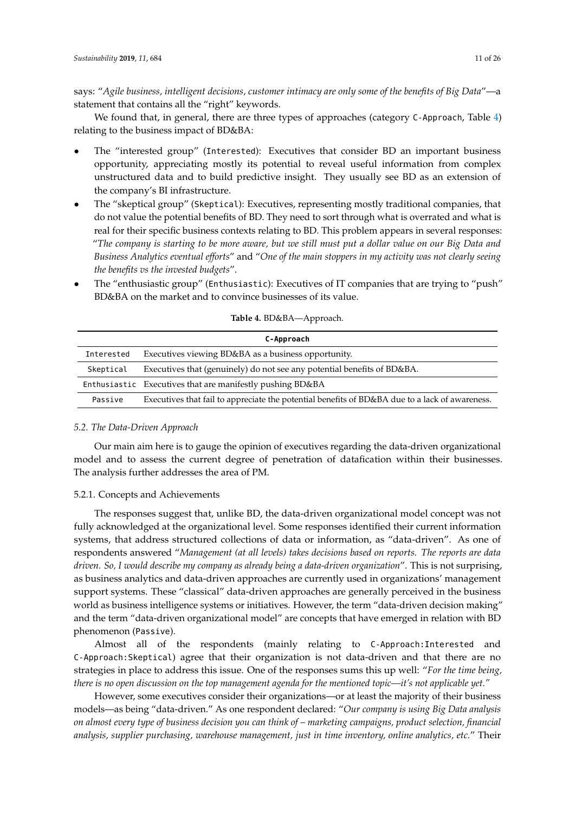says: "*Agile business, intelligent decisions, customer intimacy are only some of the benefits of Big Data*"—a statement that contains all the "right" keywords.

We found that, in general, there are three types of approaches (category C-Approach, Table [4\)](#page-10-0) relating to the business impact of BD&BA:

- The "interested group" (Interested): Executives that consider BD an important business opportunity, appreciating mostly its potential to reveal useful information from complex unstructured data and to build predictive insight. They usually see BD as an extension of the company's BI infrastructure.
- The "skeptical group" (Skeptical): Executives, representing mostly traditional companies, that do not value the potential benefits of BD. They need to sort through what is overrated and what is real for their specific business contexts relating to BD. This problem appears in several responses: "*The company is starting to be more aware, but we still must put a dollar value on our Big Data and Business Analytics eventual efforts*" and "*One of the main stoppers in my activity was not clearly seeing the benefits vs the invested budgets*".
- The "enthusiastic group" (Enthusiastic): Executives of IT companies that are trying to "push" BD&BA on the market and to convince businesses of its value.

<span id="page-10-0"></span>

| C-Approach |                                                                                                |  |
|------------|------------------------------------------------------------------------------------------------|--|
| Interested | Executives viewing BD&BA as a business opportunity.                                            |  |
| Skeptical  | Executives that (genuinely) do not see any potential benefits of BD&BA.                        |  |
|            | Enthusiastic Executives that are manifestly pushing BD&BA                                      |  |
| Passive    | Executives that fail to appreciate the potential benefits of BD&BA due to a lack of awareness. |  |

#### **Table 4.** BD&BA—Approach.

# *5.2. The Data-Driven Approach*

Our main aim here is to gauge the opinion of executives regarding the data-driven organizational model and to assess the current degree of penetration of datafication within their businesses. The analysis further addresses the area of PM.

# 5.2.1. Concepts and Achievements

The responses suggest that, unlike BD, the data-driven organizational model concept was not fully acknowledged at the organizational level. Some responses identified their current information systems, that address structured collections of data or information, as "data-driven". As one of respondents answered "*Management (at all levels) takes decisions based on reports. The reports are data driven. So, I would describe my company as already being a data-driven organization*". This is not surprising, as business analytics and data-driven approaches are currently used in organizations' management support systems. These "classical" data-driven approaches are generally perceived in the business world as business intelligence systems or initiatives. However, the term "data-driven decision making" and the term "data-driven organizational model" are concepts that have emerged in relation with BD phenomenon (Passive).

Almost all of the respondents (mainly relating to C-Approach:Interested and C-Approach:Skeptical) agree that their organization is not data-driven and that there are no strategies in place to address this issue. One of the responses sums this up well: "*For the time being, there is no open discussion on the top management agenda for the mentioned topic—it's not applicable yet."*

However, some executives consider their organizations—or at least the majority of their business models—as being "data-driven." As one respondent declared: "*Our company is using Big Data analysis on almost every type of business decision you can think of – marketing campaigns, product selection, financial analysis, supplier purchasing, warehouse management, just in time inventory, online analytics, etc.*" Their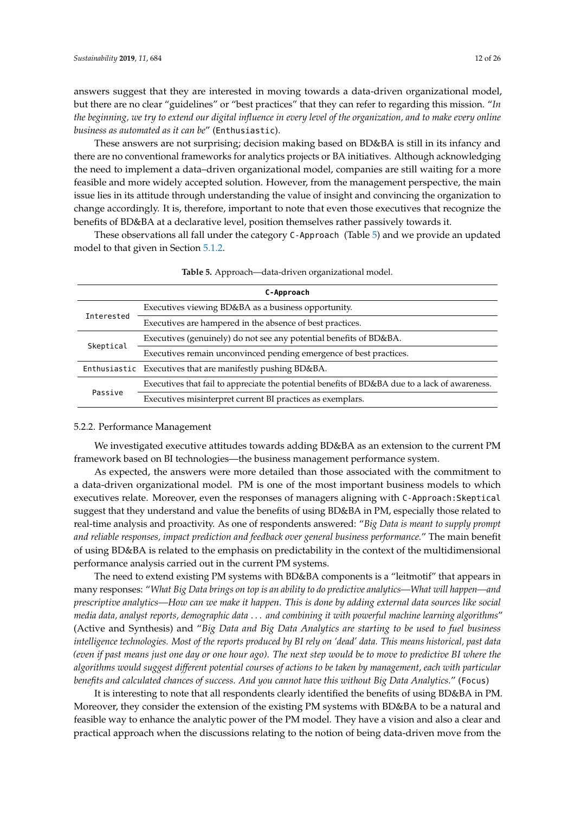answers suggest that they are interested in moving towards a data-driven organizational model, but there are no clear "guidelines" or "best practices" that they can refer to regarding this mission. "*In the beginning, we try to extend our digital influence in every level of the organization, and to make every online business as automated as it can be*" (Enthusiastic).

These answers are not surprising; decision making based on BD&BA is still in its infancy and there are no conventional frameworks for analytics projects or BA initiatives. Although acknowledging the need to implement a data–driven organizational model, companies are still waiting for a more feasible and more widely accepted solution. However, from the management perspective, the main issue lies in its attitude through understanding the value of insight and convincing the organization to change accordingly. It is, therefore, important to note that even those executives that recognize the benefits of BD&BA at a declarative level, position themselves rather passively towards it.

These observations all fall under the category C-Approach (Table [5\)](#page-11-0) and we provide an updated model to that given in Section [5.1.2.](#page-9-0)

<span id="page-11-0"></span>

|            | C-Approach                                                                                     |
|------------|------------------------------------------------------------------------------------------------|
|            | Executives viewing BD&BA as a business opportunity.                                            |
| Interested | Executives are hampered in the absence of best practices.                                      |
| Skeptical  | Executives (genuinely) do not see any potential benefits of BD&BA.                             |
|            | Executives remain unconvinced pending emergence of best practices.                             |
|            | Enthusiastic Executives that are manifestly pushing BD&BA.                                     |
| Passive    | Executives that fail to appreciate the potential benefits of BD&BA due to a lack of awareness. |
|            | Executives misinterpret current BI practices as exemplars.                                     |

|  |  | Table 5. Approach—data-driven organizational model. |  |
|--|--|-----------------------------------------------------|--|
|  |  |                                                     |  |

#### 5.2.2. Performance Management

We investigated executive attitudes towards adding BD&BA as an extension to the current PM framework based on BI technologies—the business management performance system.

As expected, the answers were more detailed than those associated with the commitment to a data-driven organizational model. PM is one of the most important business models to which executives relate. Moreover, even the responses of managers aligning with C-Approach:Skeptical suggest that they understand and value the benefits of using BD&BA in PM, especially those related to real-time analysis and proactivity. As one of respondents answered: "*Big Data is meant to supply prompt and reliable responses, impact prediction and feedback over general business performance.*" The main benefit of using BD&BA is related to the emphasis on predictability in the context of the multidimensional performance analysis carried out in the current PM systems.

The need to extend existing PM systems with BD&BA components is a "leitmotif" that appears in many responses: "*What Big Data brings on top is an ability to do predictive analytics—What will happen—and prescriptive analytics—How can we make it happen. This is done by adding external data sources like social media data, analyst reports, demographic data* . . . *and combining it with powerful machine learning algorithms*" (Active and Synthesis) and "*Big Data and Big Data Analytics are starting to be used to fuel business intelligence technologies. Most of the reports produced by BI rely on 'dead' data. This means historical, past data (even if past means just one day or one hour ago). The next step would be to move to predictive BI where the algorithms would suggest different potential courses of actions to be taken by management, each with particular benefits and calculated chances of success. And you cannot have this without Big Data Analytics.*" (Focus)

It is interesting to note that all respondents clearly identified the benefits of using BD&BA in PM. Moreover, they consider the extension of the existing PM systems with BD&BA to be a natural and feasible way to enhance the analytic power of the PM model. They have a vision and also a clear and practical approach when the discussions relating to the notion of being data-driven move from the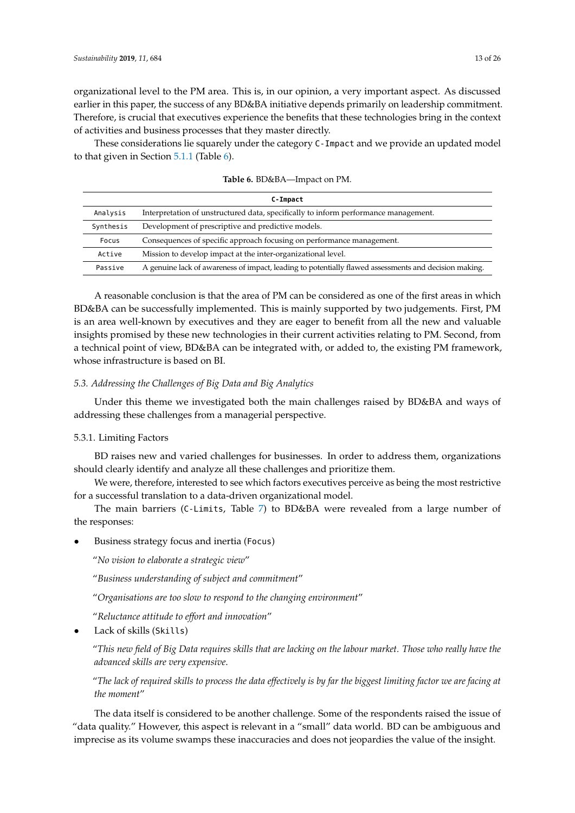organizational level to the PM area. This is, in our opinion, a very important aspect. As discussed earlier in this paper, the success of any BD&BA initiative depends primarily on leadership commitment. Therefore, is crucial that executives experience the benefits that these technologies bring in the context of activities and business processes that they master directly.

These considerations lie squarely under the category C-Impact and we provide an updated model to that given in Section [5.1.1](#page-8-1) (Table [6\)](#page-12-0).

<span id="page-12-0"></span>

|           | C-Impact                                                                                              |
|-----------|-------------------------------------------------------------------------------------------------------|
|           |                                                                                                       |
| Analysis  | Interpretation of unstructured data, specifically to inform performance management.                   |
| Synthesis | Development of prescriptive and predictive models.                                                    |
| Focus     | Consequences of specific approach focusing on performance management.                                 |
| Active    | Mission to develop impact at the inter-organizational level.                                          |
| Passive   | A genuine lack of awareness of impact, leading to potentially flawed assessments and decision making. |

**Table 6.** BD&BA—Impact on PM.

A reasonable conclusion is that the area of PM can be considered as one of the first areas in which BD&BA can be successfully implemented. This is mainly supported by two judgements. First, PM is an area well-known by executives and they are eager to benefit from all the new and valuable insights promised by these new technologies in their current activities relating to PM. Second, from a technical point of view, BD&BA can be integrated with, or added to, the existing PM framework, whose infrastructure is based on BI.

# *5.3. Addressing the Challenges of Big Data and Big Analytics*

Under this theme we investigated both the main challenges raised by BD&BA and ways of addressing these challenges from a managerial perspective.

# 5.3.1. Limiting Factors

BD raises new and varied challenges for businesses. In order to address them, organizations should clearly identify and analyze all these challenges and prioritize them.

We were, therefore, interested to see which factors executives perceive as being the most restrictive for a successful translation to a data-driven organizational model.

The main barriers (C-Limits, Table [7\)](#page-13-0) to BD&BA were revealed from a large number of the responses:

• Business strategy focus and inertia (Focus)

"*No vision to elaborate a strategic view*"

"*Business understanding of subject and commitment*"

"*Organisations are too slow to respond to the changing environment*"

"*Reluctance attitude to effort and innovation*"

Lack of skills (Skills)

"*This new field of Big Data requires skills that are lacking on the labour market. Those who really have the advanced skills are very expensive*.

"*The lack of required skills to process the data effectively is by far the biggest limiting factor we are facing at the moment*"

The data itself is considered to be another challenge. Some of the respondents raised the issue of "data quality." However, this aspect is relevant in a "small" data world. BD can be ambiguous and imprecise as its volume swamps these inaccuracies and does not jeopardies the value of the insight.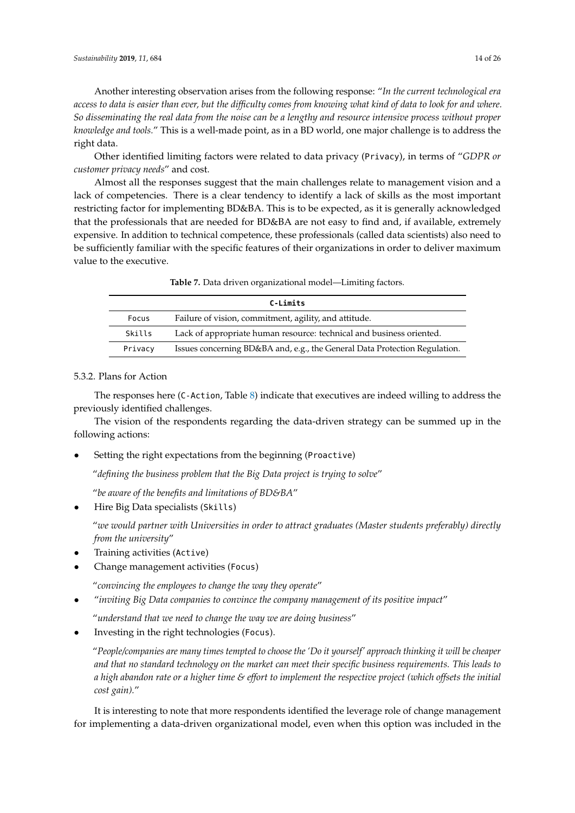Another interesting observation arises from the following response: "*In the current technological era access to data is easier than ever, but the difficulty comes from knowing what kind of data to look for and where. So disseminating the real data from the noise can be a lengthy and resource intensive process without proper knowledge and tools.*" This is a well-made point, as in a BD world, one major challenge is to address the right data.

Other identified limiting factors were related to data privacy (Privacy), in terms of "*GDPR or customer privacy needs*" and cost.

Almost all the responses suggest that the main challenges relate to management vision and a lack of competencies. There is a clear tendency to identify a lack of skills as the most important restricting factor for implementing BD&BA. This is to be expected, as it is generally acknowledged that the professionals that are needed for BD&BA are not easy to find and, if available, extremely expensive. In addition to technical competence, these professionals (called data scientists) also need to be sufficiently familiar with the specific features of their organizations in order to deliver maximum value to the executive.

<span id="page-13-0"></span>

| C-Limits |                                                                            |  |
|----------|----------------------------------------------------------------------------|--|
| Focus    | Failure of vision, commitment, agility, and attitude.                      |  |
| Skills   | Lack of appropriate human resource: technical and business oriented.       |  |
| Privacy  | Issues concerning BD&BA and, e.g., the General Data Protection Regulation. |  |

**Table 7.** Data driven organizational model—Limiting factors.

# 5.3.2. Plans for Action

The responses here (C-Action, Table [8\)](#page-14-0) indicate that executives are indeed willing to address the previously identified challenges.

The vision of the respondents regarding the data-driven strategy can be summed up in the following actions:

Setting the right expectations from the beginning (Proactive)

"*defining the business problem that the Big Data project is trying to solve*"

"*be aware of the benefits and limitations of BD&BA*"

• Hire Big Data specialists (Skills)

"*we would partner with Universities in order to attract graduates (Master students preferably) directly from the university*"

- Training activities (Active)
- Change management activities (Focus)

"*convincing the employees to change the way they operate*"

• "*inviting Big Data companies to convince the company management of its positive impact*"

"*understand that we need to change the way we are doing business*"

• Investing in the right technologies (Focus).

"*People/companies are many times tempted to choose the 'Do it yourself' approach thinking it will be cheaper and that no standard technology on the market can meet their specific business requirements. This leads to a high abandon rate or a higher time & effort to implement the respective project (which offsets the initial cost gain).*"

It is interesting to note that more respondents identified the leverage role of change management for implementing a data-driven organizational model, even when this option was included in the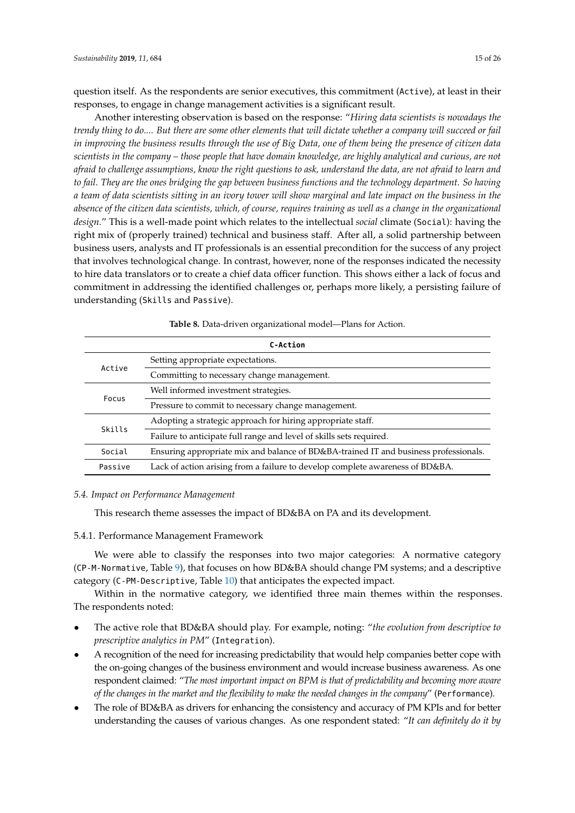question itself. As the respondents are senior executives, this commitment (Active), at least in their responses, to engage in change management activities is a significant result.

Another interesting observation is based on the response: "*Hiring data scientists is nowadays the trendy thing to do.... But there are some other elements that will dictate whether a company will succeed or fail in improving the business results through the use of Big Data, one of them being the presence of citizen data scientists in the company – those people that have domain knowledge, are highly analytical and curious, are not afraid to challenge assumptions, know the right questions to ask, understand the data, are not afraid to learn and to fail. They are the ones bridging the gap between business functions and the technology department. So having a team of data scientists sitting in an ivory tower will show marginal and late impact on the business in the absence of the citizen data scientists, which, of course, requires training as well as a change in the organizational design.*" This is a well-made point which relates to the intellectual *social* climate (Social): having the right mix of (properly trained) technical and business staff. After all, a solid partnership between business users, analysts and IT professionals is an essential precondition for the success of any project that involves technological change. In contrast, however, none of the responses indicated the necessity to hire data translators or to create a chief data officer function. This shows either a lack of focus and commitment in addressing the identified challenges or, perhaps more likely, a persisting failure of understanding (Skills and Passive).

<span id="page-14-0"></span>

|         | C-Action                                                                             |
|---------|--------------------------------------------------------------------------------------|
|         | Setting appropriate expectations.                                                    |
| Active  | Committing to necessary change management.                                           |
|         | Well informed investment strategies.                                                 |
| Focus   | Pressure to commit to necessary change management.                                   |
|         | Adopting a strategic approach for hiring appropriate staff.                          |
| Skills  | Failure to anticipate full range and level of skills sets required.                  |
| Social  | Ensuring appropriate mix and balance of BD&BA-trained IT and business professionals. |
| Passive | Lack of action arising from a failure to develop complete awareness of BD&BA.        |

**Table 8.** Data-driven organizational model—Plans for Action.

# *5.4. Impact on Performance Management*

This research theme assesses the impact of BD&BA on PA and its development.

# 5.4.1. Performance Management Framework

We were able to classify the responses into two major categories: A normative category (CP-M-Normative, Table [9\)](#page-15-0), that focuses on how BD&BA should change PM systems; and a descriptive category (C-PM-Descriptive, Table [10\)](#page-15-1) that anticipates the expected impact.

Within in the normative category, we identified three main themes within the responses. The respondents noted:

- The active role that BD&BA should play. For example, noting: "*the evolution from descriptive to prescriptive analytics in PM*" (Integration).
- A recognition of the need for increasing predictability that would help companies better cope with the on-going changes of the business environment and would increase business awareness. As one respondent claimed: "*The most important impact on BPM is that of predictability and becoming more aware of the changes in the market and the flexibility to make the needed changes in the company*" (Performance).
- The role of BD&BA as drivers for enhancing the consistency and accuracy of PM KPIs and for better understanding the causes of various changes. As one respondent stated: "*It can definitely do it by*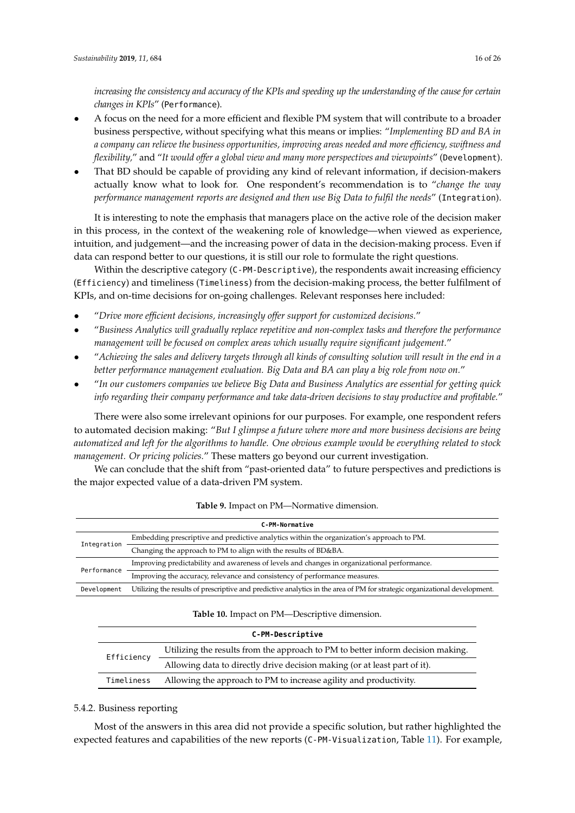*increasing the consistency and accuracy of the KPIs and speeding up the understanding of the cause for certain changes in KPIs*" (Performance).

- A focus on the need for a more efficient and flexible PM system that will contribute to a broader business perspective, without specifying what this means or implies: "*Implementing BD and BA in a company can relieve the business opportunities, improving areas needed and more efficiency, swiftness and flexibility,*" and "*It would offer a global view and many more perspectives and viewpoints*" (Development).
- That BD should be capable of providing any kind of relevant information, if decision-makers actually know what to look for. One respondent's recommendation is to "*change the way performance management reports are designed and then use Big Data to fulfil the needs*" (Integration).

It is interesting to note the emphasis that managers place on the active role of the decision maker in this process, in the context of the weakening role of knowledge—when viewed as experience, intuition, and judgement—and the increasing power of data in the decision-making process. Even if data can respond better to our questions, it is still our role to formulate the right questions.

Within the descriptive category (C-PM-Descriptive), the respondents await increasing efficiency (Efficiency) and timeliness (Timeliness) from the decision-making process, the better fulfilment of KPIs, and on-time decisions for on-going challenges. Relevant responses here included:

- "*Drive more efficient decisions, increasingly offer support for customized decisions.*"
- "*Business Analytics will gradually replace repetitive and non-complex tasks and therefore the performance management will be focused on complex areas which usually require significant judgement.*"
- "*Achieving the sales and delivery targets through all kinds of consulting solution will result in the end in a better performance management evaluation. Big Data and BA can play a big role from now on.*"
- "*In our customers companies we believe Big Data and Business Analytics are essential for getting quick info regarding their company performance and take data-driven decisions to stay productive and profitable.*"

There were also some irrelevant opinions for our purposes. For example, one respondent refers to automated decision making: "*But I glimpse a future where more and more business decisions are being automatized and left for the algorithms to handle. One obvious example would be everything related to stock management. Or pricing policies.*" These matters go beyond our current investigation.

We can conclude that the shift from "past-oriented data" to future perspectives and predictions is the major expected value of a data-driven PM system.

<span id="page-15-0"></span>

|             | C-PM-Normative                                                                                                             |
|-------------|----------------------------------------------------------------------------------------------------------------------------|
| Integration | Embedding prescriptive and predictive analytics within the organization's approach to PM.                                  |
|             | Changing the approach to PM to align with the results of BD&BA.                                                            |
|             | Improving predictability and awareness of levels and changes in organizational performance.                                |
| Performance | Improving the accuracy, relevance and consistency of performance measures.                                                 |
| Development | Utilizing the results of prescriptive and predictive analytics in the area of PM for strategic organizational development. |

| Table 9. Impact on PM—Normative dimension. |  |
|--------------------------------------------|--|
|--------------------------------------------|--|

**Table 10.** Impact on PM—Descriptive dimension.

<span id="page-15-1"></span>

|            | C-PM-Descriptive                                                                |
|------------|---------------------------------------------------------------------------------|
| Efficiency | Utilizing the results from the approach to PM to better inform decision making. |
|            | Allowing data to directly drive decision making (or at least part of it).       |
| Timeliness | Allowing the approach to PM to increase agility and productivity.               |

# 5.4.2. Business reporting

Most of the answers in this area did not provide a specific solution, but rather highlighted the expected features and capabilities of the new reports (C-PM-Visualization, Table [11\)](#page-16-0). For example,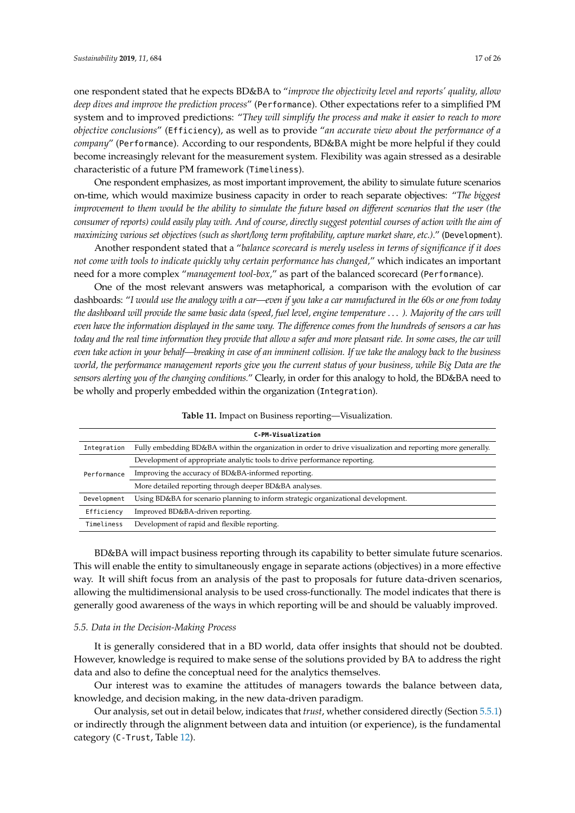one respondent stated that he expects BD&BA to "*improve the objectivity level and reports' quality, allow deep dives and improve the prediction process*" (Performance). Other expectations refer to a simplified PM system and to improved predictions: "*They will simplify the process and make it easier to reach to more objective conclusions*" (Efficiency), as well as to provide "*an accurate view about the performance of a company*" (Performance). According to our respondents, BD&BA might be more helpful if they could become increasingly relevant for the measurement system. Flexibility was again stressed as a desirable characteristic of a future PM framework (Timeliness).

One respondent emphasizes, as most important improvement, the ability to simulate future scenarios on-time, which would maximize business capacity in order to reach separate objectives: "*The biggest improvement to them would be the ability to simulate the future based on different scenarios that the user (the consumer of reports) could easily play with. And of course, directly suggest potential courses of action with the aim of maximizing various set objectives (such as short/long term profitability, capture market share, etc.)*." (Development).

Another respondent stated that a "*balance scorecard is merely useless in terms of significance if it does not come with tools to indicate quickly why certain performance has changed,*" which indicates an important need for a more complex "*management tool-box,*" as part of the balanced scorecard (Performance).

One of the most relevant answers was metaphorical, a comparison with the evolution of car dashboards: "*I would use the analogy with a car—even if you take a car manufactured in the 60s or one from today the dashboard will provide the same basic data (speed, fuel level, engine temperature* . . . *). Majority of the cars will even have the information displayed in the same way. The difference comes from the hundreds of sensors a car has today and the real time information they provide that allow a safer and more pleasant ride. In some cases, the car will even take action in your behalf—breaking in case of an imminent collision. If we take the analogy back to the business world, the performance management reports give you the current status of your business, while Big Data are the sensors alerting you of the changing conditions.*" Clearly, in order for this analogy to hold, the BD&BA need to be wholly and properly embedded within the organization (Integration).

<span id="page-16-0"></span>

| C-PM-Visualization |                                                                                                             |  |  |  |
|--------------------|-------------------------------------------------------------------------------------------------------------|--|--|--|
| Integration        | Fully embedding BD&BA within the organization in order to drive visualization and reporting more generally. |  |  |  |
| Performance        | Development of appropriate analytic tools to drive performance reporting.                                   |  |  |  |
|                    | Improving the accuracy of BD&BA-informed reporting.                                                         |  |  |  |
|                    | More detailed reporting through deeper BD&BA analyses.                                                      |  |  |  |
| Development        | Using BD&BA for scenario planning to inform strategic organizational development.                           |  |  |  |
| Efficiency         | Improved BD&BA-driven reporting.                                                                            |  |  |  |
| Timeliness         | Development of rapid and flexible reporting.                                                                |  |  |  |

|  |  |  | Table 11. Impact on Business reporting-Visualization. |  |  |
|--|--|--|-------------------------------------------------------|--|--|
|--|--|--|-------------------------------------------------------|--|--|

BD&BA will impact business reporting through its capability to better simulate future scenarios. This will enable the entity to simultaneously engage in separate actions (objectives) in a more effective way. It will shift focus from an analysis of the past to proposals for future data-driven scenarios, allowing the multidimensional analysis to be used cross-functionally. The model indicates that there is generally good awareness of the ways in which reporting will be and should be valuably improved.

# *5.5. Data in the Decision-Making Process*

It is generally considered that in a BD world, data offer insights that should not be doubted. However, knowledge is required to make sense of the solutions provided by BA to address the right data and also to define the conceptual need for the analytics themselves.

Our interest was to examine the attitudes of managers towards the balance between data, knowledge, and decision making, in the new data-driven paradigm.

Our analysis, set out in detail below, indicates that *trust*, whether considered directly (Section [5.5.1\)](#page-17-0) or indirectly through the alignment between data and intuition (or experience), is the fundamental category (C-Trust, Table [12\)](#page-18-0).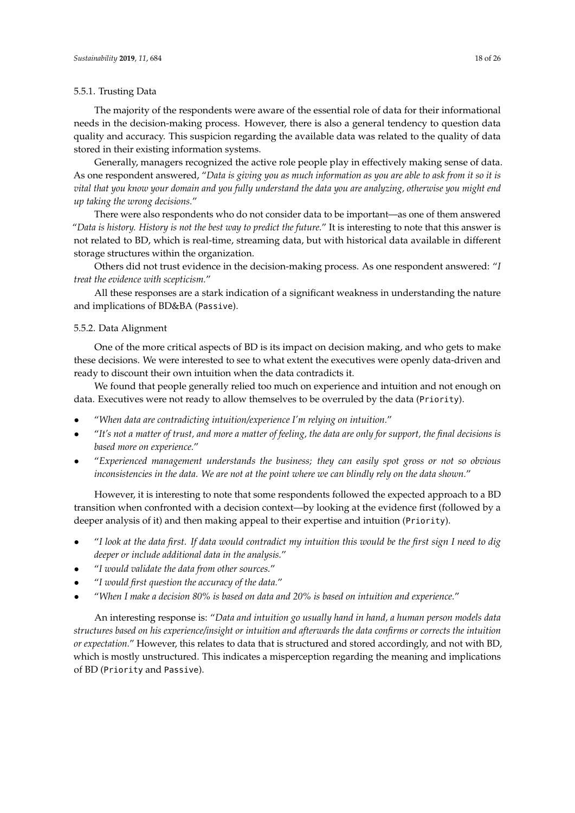# <span id="page-17-0"></span>5.5.1. Trusting Data

The majority of the respondents were aware of the essential role of data for their informational needs in the decision-making process. However, there is also a general tendency to question data quality and accuracy. This suspicion regarding the available data was related to the quality of data stored in their existing information systems.

Generally, managers recognized the active role people play in effectively making sense of data. As one respondent answered, "*Data is giving you as much information as you are able to ask from it so it is vital that you know your domain and you fully understand the data you are analyzing, otherwise you might end up taking the wrong decisions.*"

There were also respondents who do not consider data to be important—as one of them answered "*Data is history. History is not the best way to predict the future.*" It is interesting to note that this answer is not related to BD, which is real-time, streaming data, but with historical data available in different storage structures within the organization.

Others did not trust evidence in the decision-making process. As one respondent answered: "*I treat the evidence with scepticism.*"

All these responses are a stark indication of a significant weakness in understanding the nature and implications of BD&BA (Passive).

#### 5.5.2. Data Alignment

One of the more critical aspects of BD is its impact on decision making, and who gets to make these decisions. We were interested to see to what extent the executives were openly data-driven and ready to discount their own intuition when the data contradicts it.

We found that people generally relied too much on experience and intuition and not enough on data. Executives were not ready to allow themselves to be overruled by the data (Priority).

- "*When data are contradicting intuition/experience I'm relying on intuition.*"
- "*It's not a matter of trust, and more a matter of feeling, the data are only for support, the final decisions is based more on experience.*"
- "*Experienced management understands the business; they can easily spot gross or not so obvious inconsistencies in the data. We are not at the point where we can blindly rely on the data shown.*"

However, it is interesting to note that some respondents followed the expected approach to a BD transition when confronted with a decision context—by looking at the evidence first (followed by a deeper analysis of it) and then making appeal to their expertise and intuition (Priority).

- "*I look at the data first. If data would contradict my intuition this would be the first sign I need to dig deeper or include additional data in the analysis.*"
- "*I would validate the data from other sources.*"
- "*I would first question the accuracy of the data.*"
- "*When I make a decision 80% is based on data and 20% is based on intuition and experience.*"

An interesting response is: "*Data and intuition go usually hand in hand, a human person models data structures based on his experience/insight or intuition and afterwards the data confirms or corrects the intuition or expectation.*" However, this relates to data that is structured and stored accordingly, and not with BD, which is mostly unstructured. This indicates a misperception regarding the meaning and implications of BD (Priority and Passive).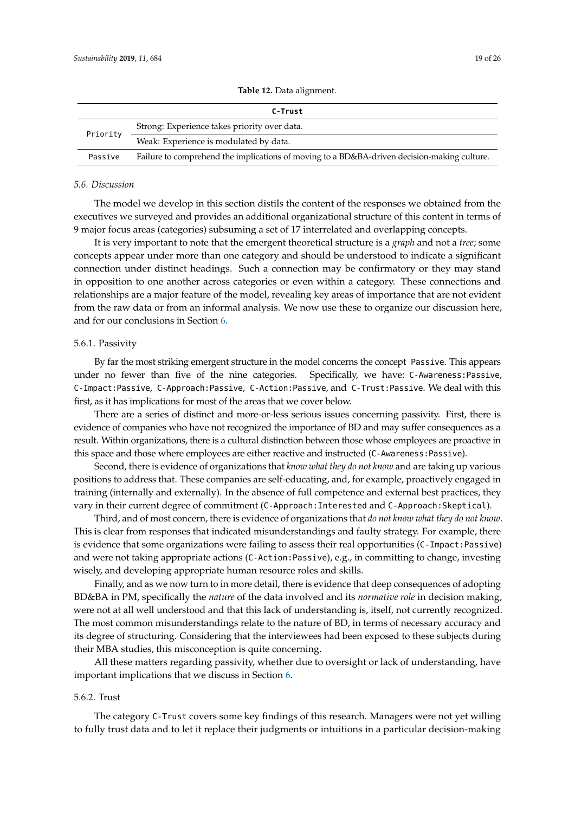<span id="page-18-0"></span>

|          | <b>C-Trust</b>                                                                              |
|----------|---------------------------------------------------------------------------------------------|
| Priority | Strong: Experience takes priority over data.                                                |
|          | Weak: Experience is modulated by data.                                                      |
| Passive  | Failure to comprehend the implications of moving to a BD&BA-driven decision-making culture. |

#### **Table 12.** Data alignment.

# *5.6. Discussion*

The model we develop in this section distils the content of the responses we obtained from the executives we surveyed and provides an additional organizational structure of this content in terms of 9 major focus areas (categories) subsuming a set of 17 interrelated and overlapping concepts.

It is very important to note that the emergent theoretical structure is a *graph* and not a *tree*; some concepts appear under more than one category and should be understood to indicate a significant connection under distinct headings. Such a connection may be confirmatory or they may stand in opposition to one another across categories or even within a category. These connections and relationships are a major feature of the model, revealing key areas of importance that are not evident from the raw data or from an informal analysis. We now use these to organize our discussion here, and for our conclusions in Section [6.](#page-20-0)

# <span id="page-18-1"></span>5.6.1. Passivity

By far the most striking emergent structure in the model concerns the concept Passive. This appears under no fewer than five of the nine categories. Specifically, we have: C-Awareness:Passive, C-Impact:Passive, C-Approach:Passive, C-Action:Passive, and C-Trust:Passive. We deal with this first, as it has implications for most of the areas that we cover below.

There are a series of distinct and more-or-less serious issues concerning passivity. First, there is evidence of companies who have not recognized the importance of BD and may suffer consequences as a result. Within organizations, there is a cultural distinction between those whose employees are proactive in this space and those where employees are either reactive and instructed (C-Awareness:Passive).

Second, there is evidence of organizations that *know what they do not know* and are taking up various positions to address that. These companies are self-educating, and, for example, proactively engaged in training (internally and externally). In the absence of full competence and external best practices, they vary in their current degree of commitment (C-Approach:Interested and C-Approach:Skeptical).

Third, and of most concern, there is evidence of organizations that *do not know what they do not know*. This is clear from responses that indicated misunderstandings and faulty strategy. For example, there is evidence that some organizations were failing to assess their real opportunities (C-Impact:Passive) and were not taking appropriate actions (C-Action:Passive), e.g., in committing to change, investing wisely, and developing appropriate human resource roles and skills.

Finally, and as we now turn to in more detail, there is evidence that deep consequences of adopting BD&BA in PM, specifically the *nature* of the data involved and its *normative role* in decision making, were not at all well understood and that this lack of understanding is, itself, not currently recognized. The most common misunderstandings relate to the nature of BD, in terms of necessary accuracy and its degree of structuring. Considering that the interviewees had been exposed to these subjects during their MBA studies, this misconception is quite concerning.

All these matters regarding passivity, whether due to oversight or lack of understanding, have important implications that we discuss in Section [6.](#page-20-0)

# 5.6.2. Trust

The category C-Trust covers some key findings of this research. Managers were not yet willing to fully trust data and to let it replace their judgments or intuitions in a particular decision-making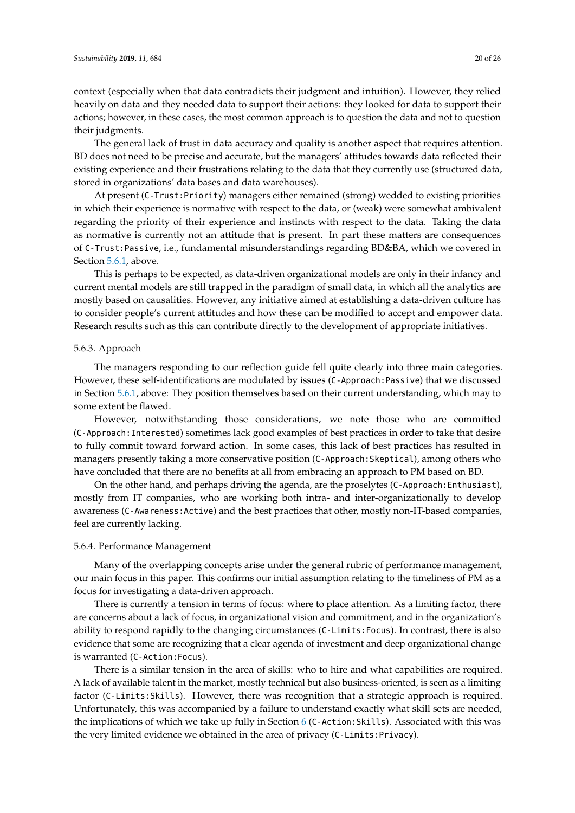context (especially when that data contradicts their judgment and intuition). However, they relied heavily on data and they needed data to support their actions: they looked for data to support their actions; however, in these cases, the most common approach is to question the data and not to question their judgments.

The general lack of trust in data accuracy and quality is another aspect that requires attention. BD does not need to be precise and accurate, but the managers' attitudes towards data reflected their existing experience and their frustrations relating to the data that they currently use (structured data, stored in organizations' data bases and data warehouses).

At present (C-Trust:Priority) managers either remained (strong) wedded to existing priorities in which their experience is normative with respect to the data, or (weak) were somewhat ambivalent regarding the priority of their experience and instincts with respect to the data. Taking the data as normative is currently not an attitude that is present. In part these matters are consequences of C-Trust:Passive, i.e., fundamental misunderstandings regarding BD&BA, which we covered in Section [5.6.1,](#page-18-1) above.

This is perhaps to be expected, as data-driven organizational models are only in their infancy and current mental models are still trapped in the paradigm of small data, in which all the analytics are mostly based on causalities. However, any initiative aimed at establishing a data-driven culture has to consider people's current attitudes and how these can be modified to accept and empower data. Research results such as this can contribute directly to the development of appropriate initiatives.

#### 5.6.3. Approach

The managers responding to our reflection guide fell quite clearly into three main categories. However, these self-identifications are modulated by issues (C-Approach:Passive) that we discussed in Section [5.6.1,](#page-18-1) above: They position themselves based on their current understanding, which may to some extent be flawed.

However, notwithstanding those considerations, we note those who are committed (C-Approach:Interested) sometimes lack good examples of best practices in order to take that desire to fully commit toward forward action. In some cases, this lack of best practices has resulted in managers presently taking a more conservative position (C-Approach:Skeptical), among others who have concluded that there are no benefits at all from embracing an approach to PM based on BD.

On the other hand, and perhaps driving the agenda, are the proselytes (C-Approach:Enthusiast), mostly from IT companies, who are working both intra- and inter-organizationally to develop awareness (C-Awareness:Active) and the best practices that other, mostly non-IT-based companies, feel are currently lacking.

#### 5.6.4. Performance Management

Many of the overlapping concepts arise under the general rubric of performance management, our main focus in this paper. This confirms our initial assumption relating to the timeliness of PM as a focus for investigating a data-driven approach.

There is currently a tension in terms of focus: where to place attention. As a limiting factor, there are concerns about a lack of focus, in organizational vision and commitment, and in the organization's ability to respond rapidly to the changing circumstances (C-Limits:Focus). In contrast, there is also evidence that some are recognizing that a clear agenda of investment and deep organizational change is warranted (C-Action:Focus).

There is a similar tension in the area of skills: who to hire and what capabilities are required. A lack of available talent in the market, mostly technical but also business-oriented, is seen as a limiting factor (C-Limits:Skills). However, there was recognition that a strategic approach is required. Unfortunately, this was accompanied by a failure to understand exactly what skill sets are needed, the implications of which we take up fully in Section [6](#page-20-0) (C-Action:Skills). Associated with this was the very limited evidence we obtained in the area of privacy (C-Limits:Privacy).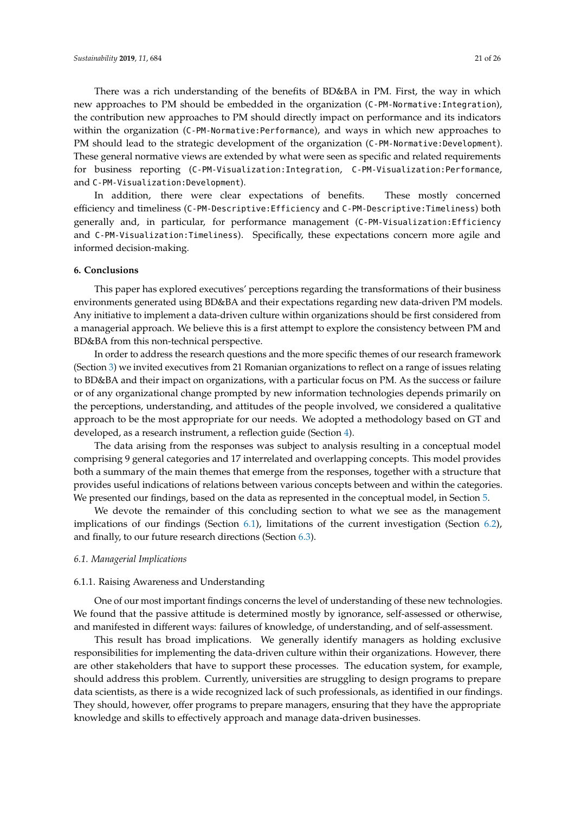There was a rich understanding of the benefits of BD&BA in PM. First, the way in which new approaches to PM should be embedded in the organization (C-PM-Normative:Integration), the contribution new approaches to PM should directly impact on performance and its indicators within the organization (C-PM-Normative:Performance), and ways in which new approaches to PM should lead to the strategic development of the organization (C-PM-Normative:Development). These general normative views are extended by what were seen as specific and related requirements for business reporting (C-PM-Visualization:Integration, C-PM-Visualization:Performance, and C-PM-Visualization:Development).

In addition, there were clear expectations of benefits. These mostly concerned efficiency and timeliness (C-PM-Descriptive:Efficiency and C-PM-Descriptive:Timeliness) both generally and, in particular, for performance management (C-PM-Visualization:Efficiency and C-PM-Visualization:Timeliness). Specifically, these expectations concern more agile and informed decision-making.

#### <span id="page-20-0"></span>**6. Conclusions**

This paper has explored executives' perceptions regarding the transformations of their business environments generated using BD&BA and their expectations regarding new data-driven PM models. Any initiative to implement a data-driven culture within organizations should be first considered from a managerial approach. We believe this is a first attempt to explore the consistency between PM and BD&BA from this non-technical perspective.

In order to address the research questions and the more specific themes of our research framework (Section [3\)](#page-5-0) we invited executives from 21 Romanian organizations to reflect on a range of issues relating to BD&BA and their impact on organizations, with a particular focus on PM. As the success or failure or of any organizational change prompted by new information technologies depends primarily on the perceptions, understanding, and attitudes of the people involved, we considered a qualitative approach to be the most appropriate for our needs. We adopted a methodology based on GT and developed, as a research instrument, a reflection guide (Section [4\)](#page-6-0).

The data arising from the responses was subject to analysis resulting in a conceptual model comprising 9 general categories and 17 interrelated and overlapping concepts. This model provides both a summary of the main themes that emerge from the responses, together with a structure that provides useful indications of relations between various concepts between and within the categories. We presented our findings, based on the data as represented in the conceptual model, in Section [5.](#page-7-0)

We devote the remainder of this concluding section to what we see as the management implications of our findings (Section [6.1\)](#page-20-1), limitations of the current investigation (Section [6.2\)](#page-22-0), and finally, to our future research directions (Section [6.3\)](#page-22-1).

#### <span id="page-20-1"></span>*6.1. Managerial Implications*

#### 6.1.1. Raising Awareness and Understanding

One of our most important findings concerns the level of understanding of these new technologies. We found that the passive attitude is determined mostly by ignorance, self-assessed or otherwise, and manifested in different ways: failures of knowledge, of understanding, and of self-assessment.

This result has broad implications. We generally identify managers as holding exclusive responsibilities for implementing the data-driven culture within their organizations. However, there are other stakeholders that have to support these processes. The education system, for example, should address this problem. Currently, universities are struggling to design programs to prepare data scientists, as there is a wide recognized lack of such professionals, as identified in our findings. They should, however, offer programs to prepare managers, ensuring that they have the appropriate knowledge and skills to effectively approach and manage data-driven businesses.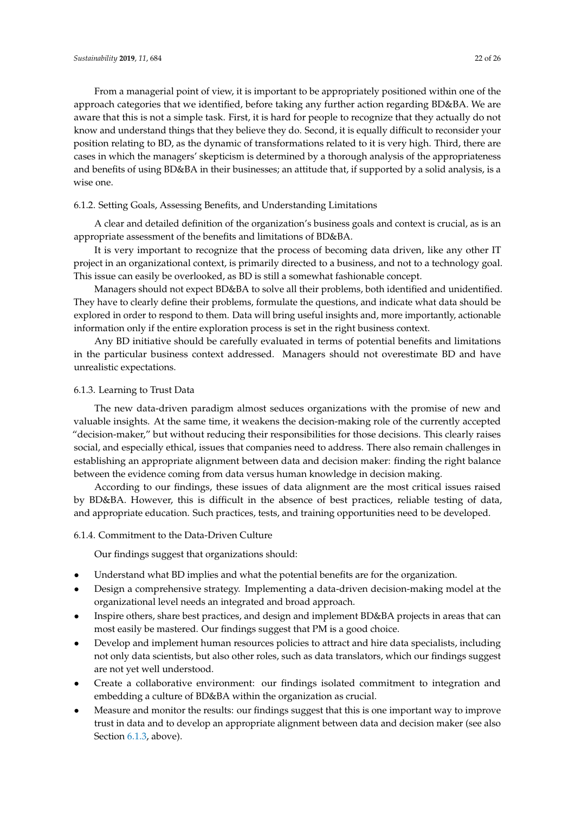From a managerial point of view, it is important to be appropriately positioned within one of the approach categories that we identified, before taking any further action regarding BD&BA. We are aware that this is not a simple task. First, it is hard for people to recognize that they actually do not know and understand things that they believe they do. Second, it is equally difficult to reconsider your position relating to BD, as the dynamic of transformations related to it is very high. Third, there are cases in which the managers' skepticism is determined by a thorough analysis of the appropriateness and benefits of using BD&BA in their businesses; an attitude that, if supported by a solid analysis, is a wise one.

# 6.1.2. Setting Goals, Assessing Benefits, and Understanding Limitations

A clear and detailed definition of the organization's business goals and context is crucial, as is an appropriate assessment of the benefits and limitations of BD&BA.

It is very important to recognize that the process of becoming data driven, like any other IT project in an organizational context, is primarily directed to a business, and not to a technology goal. This issue can easily be overlooked, as BD is still a somewhat fashionable concept.

Managers should not expect BD&BA to solve all their problems, both identified and unidentified. They have to clearly define their problems, formulate the questions, and indicate what data should be explored in order to respond to them. Data will bring useful insights and, more importantly, actionable information only if the entire exploration process is set in the right business context.

Any BD initiative should be carefully evaluated in terms of potential benefits and limitations in the particular business context addressed. Managers should not overestimate BD and have unrealistic expectations.

# <span id="page-21-0"></span>6.1.3. Learning to Trust Data

The new data-driven paradigm almost seduces organizations with the promise of new and valuable insights. At the same time, it weakens the decision-making role of the currently accepted "decision-maker," but without reducing their responsibilities for those decisions. This clearly raises social, and especially ethical, issues that companies need to address. There also remain challenges in establishing an appropriate alignment between data and decision maker: finding the right balance between the evidence coming from data versus human knowledge in decision making.

According to our findings, these issues of data alignment are the most critical issues raised by BD&BA. However, this is difficult in the absence of best practices, reliable testing of data, and appropriate education. Such practices, tests, and training opportunities need to be developed.

# <span id="page-21-1"></span>6.1.4. Commitment to the Data-Driven Culture

Our findings suggest that organizations should:

- Understand what BD implies and what the potential benefits are for the organization.
- Design a comprehensive strategy. Implementing a data-driven decision-making model at the organizational level needs an integrated and broad approach.
- Inspire others, share best practices, and design and implement BD&BA projects in areas that can most easily be mastered. Our findings suggest that PM is a good choice.
- Develop and implement human resources policies to attract and hire data specialists, including not only data scientists, but also other roles, such as data translators, which our findings suggest are not yet well understood.
- Create a collaborative environment: our findings isolated commitment to integration and embedding a culture of BD&BA within the organization as crucial.
- Measure and monitor the results: our findings suggest that this is one important way to improve trust in data and to develop an appropriate alignment between data and decision maker (see also Section [6.1.3,](#page-21-0) above).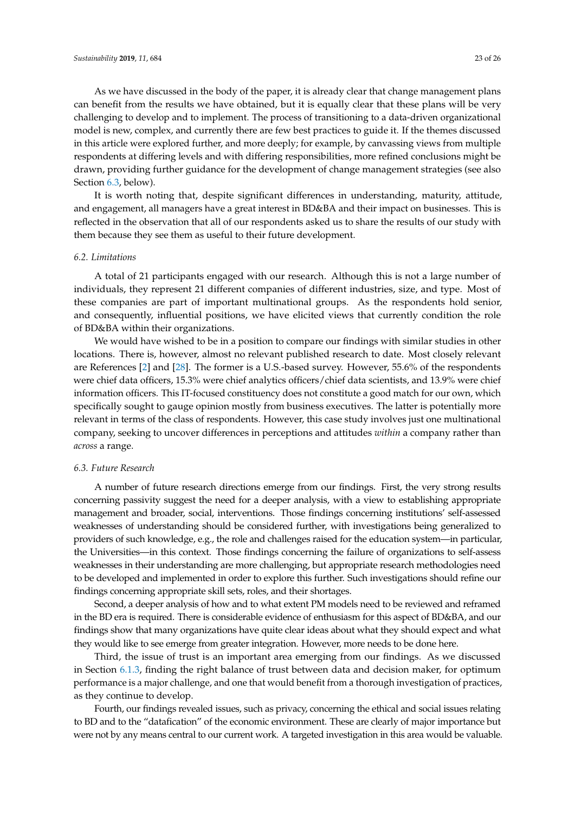As we have discussed in the body of the paper, it is already clear that change management plans can benefit from the results we have obtained, but it is equally clear that these plans will be very challenging to develop and to implement. The process of transitioning to a data-driven organizational model is new, complex, and currently there are few best practices to guide it. If the themes discussed in this article were explored further, and more deeply; for example, by canvassing views from multiple respondents at differing levels and with differing responsibilities, more refined conclusions might be drawn, providing further guidance for the development of change management strategies (see also Section [6.3,](#page-22-1) below).

It is worth noting that, despite significant differences in understanding, maturity, attitude, and engagement, all managers have a great interest in BD&BA and their impact on businesses. This is reflected in the observation that all of our respondents asked us to share the results of our study with them because they see them as useful to their future development.

#### <span id="page-22-0"></span>*6.2. Limitations*

A total of 21 participants engaged with our research. Although this is not a large number of individuals, they represent 21 different companies of different industries, size, and type. Most of these companies are part of important multinational groups. As the respondents hold senior, and consequently, influential positions, we have elicited views that currently condition the role of BD&BA within their organizations.

We would have wished to be in a position to compare our findings with similar studies in other locations. There is, however, almost no relevant published research to date. Most closely relevant are References [\[2\]](#page-23-1) and [\[28\]](#page-25-2). The former is a U.S.-based survey. However, 55.6% of the respondents were chief data officers, 15.3% were chief analytics officers/chief data scientists, and 13.9% were chief information officers. This IT-focused constituency does not constitute a good match for our own, which specifically sought to gauge opinion mostly from business executives. The latter is potentially more relevant in terms of the class of respondents. However, this case study involves just one multinational company, seeking to uncover differences in perceptions and attitudes *within* a company rather than *across* a range.

#### <span id="page-22-1"></span>*6.3. Future Research*

A number of future research directions emerge from our findings. First, the very strong results concerning passivity suggest the need for a deeper analysis, with a view to establishing appropriate management and broader, social, interventions. Those findings concerning institutions' self-assessed weaknesses of understanding should be considered further, with investigations being generalized to providers of such knowledge, e.g., the role and challenges raised for the education system—in particular, the Universities—in this context. Those findings concerning the failure of organizations to self-assess weaknesses in their understanding are more challenging, but appropriate research methodologies need to be developed and implemented in order to explore this further. Such investigations should refine our findings concerning appropriate skill sets, roles, and their shortages.

Second, a deeper analysis of how and to what extent PM models need to be reviewed and reframed in the BD era is required. There is considerable evidence of enthusiasm for this aspect of BD&BA, and our findings show that many organizations have quite clear ideas about what they should expect and what they would like to see emerge from greater integration. However, more needs to be done here.

Third, the issue of trust is an important area emerging from our findings. As we discussed in Section [6.1.3,](#page-21-0) finding the right balance of trust between data and decision maker, for optimum performance is a major challenge, and one that would benefit from a thorough investigation of practices, as they continue to develop.

Fourth, our findings revealed issues, such as privacy, concerning the ethical and social issues relating to BD and to the "datafication" of the economic environment. These are clearly of major importance but were not by any means central to our current work. A targeted investigation in this area would be valuable.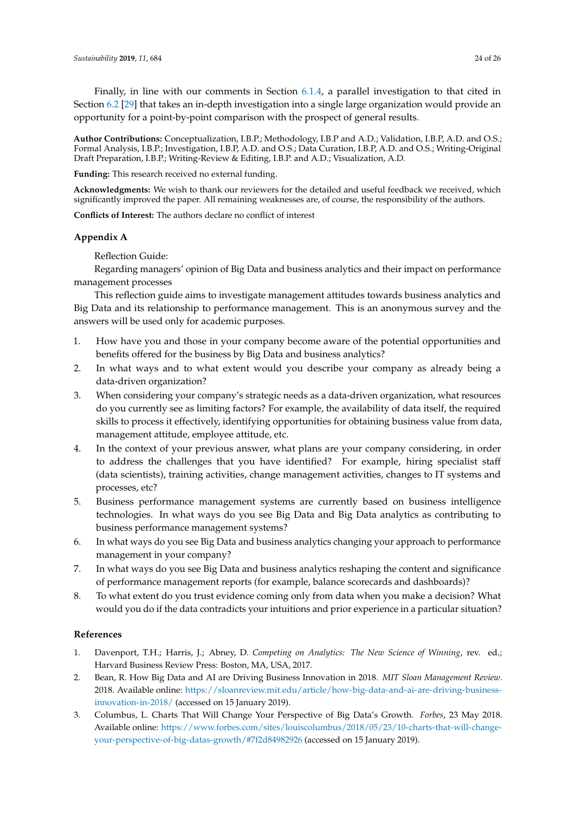Finally, in line with our comments in Section [6.1.4,](#page-21-1) a parallel investigation to that cited in Section [6.2](#page-22-0) [\[29\]](#page-25-3) that takes an in-depth investigation into a single large organization would provide an opportunity for a point-by-point comparison with the prospect of general results.

**Author Contributions:** Conceptualization, I.B.P.; Methodology, I.B.P and A.D.; Validation, I.B.P, A.D. and O.S.; Formal Analysis, I.B.P.; Investigation, I.B.P, A.D. and O.S.; Data Curation, I.B.P, A.D. and O.S.; Writing-Original Draft Preparation, I.B.P.; Writing-Review & Editing, I.B.P. and A.D.; Visualization, A.D.

**Funding:** This research received no external funding.

**Acknowledgments:** We wish to thank our reviewers for the detailed and useful feedback we received, which significantly improved the paper. All remaining weaknesses are, of course, the responsibility of the authors.

**Conflicts of Interest:** The authors declare no conflict of interest

# <span id="page-23-3"></span>**Appendix A**

Reflection Guide:

Regarding managers' opinion of Big Data and business analytics and their impact on performance management processes

This reflection guide aims to investigate management attitudes towards business analytics and Big Data and its relationship to performance management. This is an anonymous survey and the answers will be used only for academic purposes.

- 1. How have you and those in your company become aware of the potential opportunities and benefits offered for the business by Big Data and business analytics?
- 2. In what ways and to what extent would you describe your company as already being a data-driven organization?
- 3. When considering your company's strategic needs as a data-driven organization, what resources do you currently see as limiting factors? For example, the availability of data itself, the required skills to process it effectively, identifying opportunities for obtaining business value from data, management attitude, employee attitude, etc.
- 4. In the context of your previous answer, what plans are your company considering, in order to address the challenges that you have identified? For example, hiring specialist staff (data scientists), training activities, change management activities, changes to IT systems and processes, etc?
- 5. Business performance management systems are currently based on business intelligence technologies. In what ways do you see Big Data and Big Data analytics as contributing to business performance management systems?
- 6. In what ways do you see Big Data and business analytics changing your approach to performance management in your company?
- 7. In what ways do you see Big Data and business analytics reshaping the content and significance of performance management reports (for example, balance scorecards and dashboards)?
- 8. To what extent do you trust evidence coming only from data when you make a decision? What would you do if the data contradicts your intuitions and prior experience in a particular situation?

# **References**

- <span id="page-23-0"></span>1. Davenport, T.H.; Harris, J.; Abney, D. *Competing on Analytics: The New Science of Winning*, rev. ed.; Harvard Business Review Press: Boston, MA, USA, 2017.
- <span id="page-23-1"></span>2. Bean, R. How Big Data and AI are Driving Business Innovation in 2018. *MIT Sloan Management Review*. 2018. Available online: [https://sloanreview.mit.edu/article/how-big-data-and-ai-are-driving-business](https://sloanreview.mit.edu/article/how-big-data-and-ai-are-driving-business-innovation-in-2018/)[innovation-in-2018/](https://sloanreview.mit.edu/article/how-big-data-and-ai-are-driving-business-innovation-in-2018/) (accessed on 15 January 2019).
- <span id="page-23-2"></span>3. Columbus, L. Charts That Will Change Your Perspective of Big Data's Growth. *Forbes*, 23 May 2018. Available online: [https://www.forbes.com/sites/louiscolumbus/2018/05/23/10-charts-that-will-change](https://www.forbes.com/sites/louiscolumbus/2018/05/23/10-charts-that-will-change-your-perspective-of-big-datas-growth/#7f2d84982926)[your-perspective-of-big-datas-growth/#7f2d84982926](https://www.forbes.com/sites/louiscolumbus/2018/05/23/10-charts-that-will-change-your-perspective-of-big-datas-growth/#7f2d84982926) (accessed on 15 January 2019).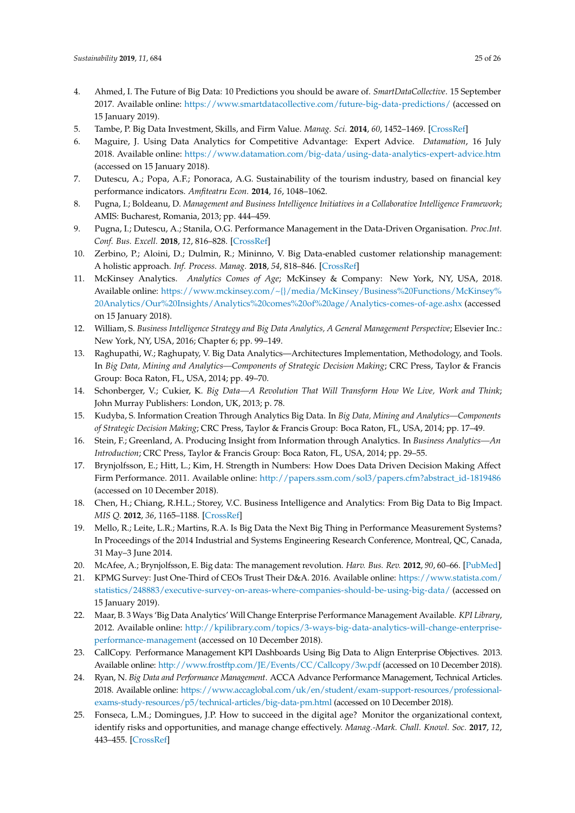- <span id="page-24-0"></span>4. Ahmed, I. The Future of Big Data: 10 Predictions you should be aware of. *SmartDataCollective*. 15 September 2017. Available online: <https://www.smartdatacollective.com/future-big-data-predictions/> (accessed on 15 January 2019).
- <span id="page-24-1"></span>5. Tambe, P. Big Data Investment, Skills, and Firm Value. *Manag. Sci.* **2014**, *60*, 1452–1469. [\[CrossRef\]](http://dx.doi.org/10.1287/mnsc.2014.1899)
- <span id="page-24-2"></span>6. Maguire, J. Using Data Analytics for Competitive Advantage: Expert Advice. *Datamation*, 16 July 2018. Available online: <https://www.datamation.com/big-data/using-data-analytics-expert-advice.htm> (accessed on 15 January 2018).
- <span id="page-24-3"></span>7. Dutescu, A.; Popa, A.F.; Ponoraca, A.G. Sustainability of the tourism industry, based on financial key performance indicators. *Amfiteatru Econ.* **2014**, *16*, 1048–1062.
- 8. Pugna, I.; Boldeanu, D. *Management and Business Intelligence Initiatives in a Collaborative Intelligence Framework*; AMIS: Bucharest, Romania, 2013; pp. 444–459.
- <span id="page-24-4"></span>9. Pugna, I.; Dutescu, A.; Stanila, O.G. Performance Management in the Data-Driven Organisation. *Proc.Int. Conf. Bus. Excell.* **2018**, *12*, 816–828. [\[CrossRef\]](http://dx.doi.org/10.2478/picbe-2018-0073)
- <span id="page-24-5"></span>10. Zerbino, P.; Aloini, D.; Dulmin, R.; Mininno, V. Big Data-enabled customer relationship management: A holistic approach. *Inf. Process. Manag.* **2018**, *54*, 818–846. [\[CrossRef\]](http://dx.doi.org/10.1016/j.ipm.2017.10.005)
- <span id="page-24-6"></span>11. McKinsey Analytics. *Analytics Comes of Age*; McKinsey & Company: New York, NY, USA, 2018. Available online: [https://www.mckinsey.com/~{}/media/McKinsey/Business%20Functions/McKinsey%](https://www.mckinsey.com/~{}/media/McKinsey/Business%20Functions/McKinsey%20Analytics/Our%20Insights/Analytics%20comes%20of%20age/Analytics-comes-of-age.ashx) [20Analytics/Our%20Insights/Analytics%20comes%20of%20age/Analytics-comes-of-age.ashx](https://www.mckinsey.com/~{}/media/McKinsey/Business%20Functions/McKinsey%20Analytics/Our%20Insights/Analytics%20comes%20of%20age/Analytics-comes-of-age.ashx) (accessed on 15 January 2018).
- <span id="page-24-7"></span>12. William, S. *Business Intelligence Strategy and Big Data Analytics, A General Management Perspective*; Elsevier Inc.: New York, NY, USA, 2016; Chapter 6; pp. 99–149.
- <span id="page-24-8"></span>13. Raghupathi, W.; Raghupaty, V. Big Data Analytics—Architectures Implementation, Methodology, and Tools. In *Big Data, Mining and Analytics—Components of Strategic Decision Making*; CRC Press, Taylor & Francis Group: Boca Raton, FL, USA, 2014; pp. 49–70.
- <span id="page-24-9"></span>14. Schonberger, V.; Cukier, K. *Big Data—A Revolution That Will Transform How We Live, Work and Think*; John Murray Publishers: London, UK, 2013; p. 78.
- <span id="page-24-10"></span>15. Kudyba, S. Information Creation Through Analytics Big Data. In *Big Data, Mining and Analytics—Components of Strategic Decision Making*; CRC Press, Taylor & Francis Group: Boca Raton, FL, USA, 2014; pp. 17–49.
- <span id="page-24-11"></span>16. Stein, F.; Greenland, A. Producing Insight from Information through Analytics. In *Business Analytics—An Introduction*; CRC Press, Taylor & Francis Group: Boca Raton, FL, USA, 2014; pp. 29–55.
- <span id="page-24-12"></span>17. Brynjolfsson, E.; Hitt, L.; Kim, H. Strength in Numbers: How Does Data Driven Decision Making Affect Firm Performance. 2011. Available online: [http://papers.ssm.com/sol3/papers.cfm?abstract\\_id-1819486](http://papers.ssm.com/sol3/papers.cfm?abstract_id-1819486) (accessed on 10 December 2018).
- <span id="page-24-13"></span>18. Chen, H.; Chiang, R.H.L.; Storey, V.C. Business Intelligence and Analytics: From Big Data to Big Impact. *MIS Q.* **2012**, *36*, 1165–1188. [\[CrossRef\]](http://dx.doi.org/10.2307/41703503)
- <span id="page-24-14"></span>19. Mello, R.; Leite, L.R.; Martins, R.A. Is Big Data the Next Big Thing in Performance Measurement Systems? In Proceedings of the 2014 Industrial and Systems Engineering Research Conference, Montreal, QC, Canada, 31 May–3 June 2014.
- <span id="page-24-15"></span>20. McAfee, A.; Brynjolfsson, E. Big data: The management revolution. *Harv. Bus. Rev.* **2012**, *90*, 60–66. [\[PubMed\]](http://www.ncbi.nlm.nih.gov/pubmed/23074865)
- <span id="page-24-16"></span>21. KPMG Survey: Just One-Third of CEOs Trust Their D&A. 2016. Available online: [https://www.statista.com/](https://www.statista.com/statistics/248883/executive-survey-on-areas-where-companies-should-be-using-big-data/) [statistics/248883/executive-survey-on-areas-where-companies-should-be-using-big-data/](https://www.statista.com/statistics/248883/executive-survey-on-areas-where-companies-should-be-using-big-data/) (accessed on 15 January 2019).
- <span id="page-24-17"></span>22. Maar, B. 3 Ways 'Big Data Analytics' Will Change Enterprise Performance Management Available. *KPI Library*, 2012. Available online: [http://kpilibrary.com/topics/3-ways-big-data-analytics-will-change-enterprise](http://kpilibrary.com/topics/3-ways-big-data-analytics-will-change-enterprise-performance-management)[performance-management](http://kpilibrary.com/topics/3-ways-big-data-analytics-will-change-enterprise-performance-management) (accessed on 10 December 2018).
- <span id="page-24-18"></span>23. CallCopy. Performance Management KPI Dashboards Using Big Data to Align Enterprise Objectives. 2013. Available online: <http://www.frostftp.com/JE/Events/CC/Callcopy/3w.pdf> (accessed on 10 December 2018).
- <span id="page-24-19"></span>24. Ryan, N. *Big Data and Performance Management*. ACCA Advance Performance Management, Technical Articles. 2018. Available online: [https://www.accaglobal.com/uk/en/student/exam-support-resources/professional](https://www.accaglobal.com/uk/en/student/exam-support-resources/professional-exams-study-resources/p5/technical-articles/big-data-pm.html)[exams-study-resources/p5/technical-articles/big-data-pm.html](https://www.accaglobal.com/uk/en/student/exam-support-resources/professional-exams-study-resources/p5/technical-articles/big-data-pm.html) (accessed on 10 December 2018).
- <span id="page-24-20"></span>25. Fonseca, L.M.; Domingues, J.P. How to succeed in the digital age? Monitor the organizational context, identify risks and opportunities, and manage change effectively. *Manag.-Mark. Chall. Knowl. Soc.* **2017**, *12*, 443–455. [\[CrossRef\]](http://dx.doi.org/10.1515/mmcks-2017-0027)